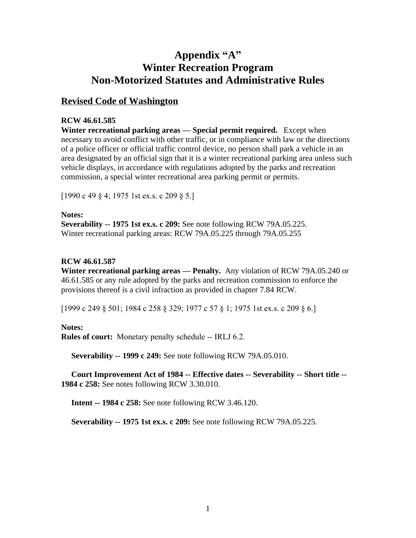# **Appendix "A" Winter Recreation Program Non-Motorized Statutes and Administrative Rules**

# **Revised Code of Washington**

#### **RCW 46.61.585**

**Winter recreational parking areas — Special permit required.** Except when necessary to avoid conflict with other traffic, or in compliance with law or the directions of a police officer or official traffic control device, no person shall park a vehicle in an area designated by an official sign that it is a winter recreational parking area unless such vehicle displays, in accordance with regulations adopted by the parks and recreation commission, a special winter recreational area parking permit or permits.

[1990 c 49 § 4; 1975 1st ex.s. c 209 § 5.]

#### **Notes:**

**Severability -- 1975 1st ex.s. c 209:** See note following RCW 79A.05.225. Winter recreational parking areas: RCW 79A.05.225 through 79A.05.255

#### **RCW 46.61.587**

**Winter recreational parking areas — Penalty.** Any violation of RCW 79A.05.240 or 46.61.585 or any rule adopted by the parks and recreation commission to enforce the provisions thereof is a civil infraction as provided in chapter 7.84 RCW.

[1999 c 249 § 501; 1984 c 258 § 329; 1977 c 57 § 1; 1975 1st ex.s. c 209 § 6.]

## **Notes:**

**Rules of court:** Monetary penalty schedule -- IRLJ 6.2.

**Severability -- 1999 c 249:** See note following RCW 79A.05.010.

 **Court Improvement Act of 1984 -- Effective dates -- Severability -- Short title -- 1984 c 258:** See notes following RCW 3.30.010.

**Intent -- 1984 c 258:** See note following RCW 3.46.120.

**Severability -- 1975 1st ex.s. c 209:** See note following RCW 79A.05.225.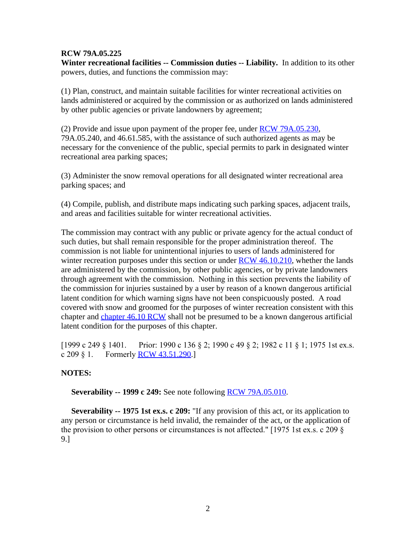#### **RCW 79A.05.225**

**Winter recreational facilities -- Commission duties -- Liability.** In addition to its other powers, duties, and functions the commission may:

(1) Plan, construct, and maintain suitable facilities for winter recreational activities on lands administered or acquired by the commission or as authorized on lands administered by other public agencies or private landowners by agreement;

(2) Provide and issue upon payment of the proper fee, under [RCW 79A.05.230,](http://search.leg.wa.gov/wslrcw/RCW%20%2079A%20TITLE/RCW%20%2079A.%2005%20%20CHAPTER/RCW%20%2079A.%2005%20.230.htm) 79A.05.240, and 46.61.585, with the assistance of such authorized agents as may be necessary for the convenience of the public, special permits to park in designated winter recreational area parking spaces;

(3) Administer the snow removal operations for all designated winter recreational area parking spaces; and

(4) Compile, publish, and distribute maps indicating such parking spaces, adjacent trails, and areas and facilities suitable for winter recreational activities.

The commission may contract with any public or private agency for the actual conduct of such duties, but shall remain responsible for the proper administration thereof. The commission is not liable for unintentional injuries to users of lands administered for winter recreation purposes under this section or under  $RCW$  46.10.210, whether the lands are administered by the commission, by other public agencies, or by private landowners through agreement with the commission. Nothing in this section prevents the liability of the commission for injuries sustained by a user by reason of a known dangerous artificial latent condition for which warning signs have not been conspicuously posted. A road covered with snow and groomed for the purposes of winter recreation consistent with this chapter and [chapter 46.10 RCW](http://search.leg.wa.gov/wslrcw/RCW%20%2046%20%20TITLE/RCW%20%2046%20.%2010%20%20CHAPTER/RCW%20%2046%20.%2010%20%20chapter.htm) shall not be presumed to be a known dangerous artificial latent condition for the purposes of this chapter.

[1999 c 249 § 1401. Prior: 1990 c 136 § 2; 1990 c 49 § 2; 1982 c 11 § 1; 1975 1st ex.s. c 209  $\S$  1. Formerly [RCW 43.51.290](http://search.leg.wa.gov/wslrcw/RCW%20%2043%20%20TITLE/RCW%20%2043%20.%2051%20%20CHAPTER/RCW%20%2043%20.%2051%20.290.htm).]

#### **NOTES:**

**Severability -- 1999 c 249:** See note following **RCW** 79A.05.010.

 **Severability -- 1975 1st ex.s. c 209:** "If any provision of this act, or its application to any person or circumstance is held invalid, the remainder of the act, or the application of the provision to other persons or circumstances is not affected." [1975 1st ex.s. c 209 § 9.]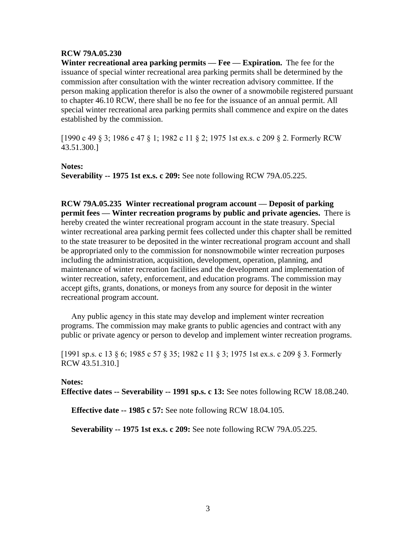#### **RCW 79A.05.230**

**Winter recreational area parking permits — Fee — Expiration.** The fee for the issuance of special winter recreational area parking permits shall be determined by the commission after consultation with the winter recreation advisory committee. If the person making application therefor is also the owner of a snowmobile registered pursuant to chapter 46.10 RCW, there shall be no fee for the issuance of an annual permit. All special winter recreational area parking permits shall commence and expire on the dates established by the commission.

[1990 c 49 § 3; 1986 c 47 § 1; 1982 c 11 § 2; 1975 1st ex.s. c 209 § 2. Formerly RCW 43.51.300.]

#### **Notes:**

**Severability -- 1975 1st ex.s. c 209:** See note following RCW 79A.05.225.

**RCW 79A.05.235 Winter recreational program account — Deposit of parking permit fees — Winter recreation programs by public and private agencies.** There is hereby created the winter recreational program account in the state treasury. Special winter recreational area parking permit fees collected under this chapter shall be remitted to the state treasurer to be deposited in the winter recreational program account and shall be appropriated only to the commission for nonsnowmobile winter recreation purposes including the administration, acquisition, development, operation, planning, and maintenance of winter recreation facilities and the development and implementation of winter recreation, safety, enforcement, and education programs. The commission may accept gifts, grants, donations, or moneys from any source for deposit in the winter recreational program account.

 Any public agency in this state may develop and implement winter recreation programs. The commission may make grants to public agencies and contract with any public or private agency or person to develop and implement winter recreation programs.

[1991 sp.s. c 13 § 6; 1985 c 57 § 35; 1982 c 11 § 3; 1975 1st ex.s. c 209 § 3. Formerly RCW 43.51.310.]

#### **Notes: Effective dates -- Severability -- 1991 sp.s. c 13:** See notes following RCW 18.08.240.

**Effective date -- 1985 c 57:** See note following RCW 18.04.105.

**Severability -- 1975 1st ex.s. c 209:** See note following RCW 79A.05.225.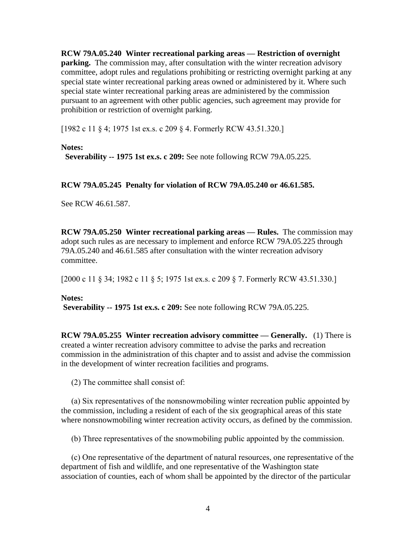**RCW 79A.05.240 Winter recreational parking areas — Restriction of overnight parking.** The commission may, after consultation with the winter recreation advisory committee, adopt rules and regulations prohibiting or restricting overnight parking at any special state winter recreational parking areas owned or administered by it. Where such special state winter recreational parking areas are administered by the commission pursuant to an agreement with other public agencies, such agreement may provide for prohibition or restriction of overnight parking.

[1982 c 11 § 4; 1975 1st ex.s. c 209 § 4. Formerly RCW 43.51.320.]

#### **Notes:**

**Severability -- 1975 1st ex.s. c 209:** See note following RCW 79A.05.225.

#### **RCW 79A.05.245 Penalty for violation of RCW 79A.05.240 or 46.61.585.**

See RCW 46.61.587.

**RCW 79A.05.250 Winter recreational parking areas — Rules.** The commission may adopt such rules as are necessary to implement and enforce RCW 79A.05.225 through 79A.05.240 and 46.61.585 after consultation with the winter recreation advisory committee.

[2000 c 11 § 34; 1982 c 11 § 5; 1975 1st ex.s. c 209 § 7. Formerly RCW 43.51.330.]

#### **Notes:**

**Severability -- 1975 1st ex.s. c 209:** See note following RCW 79A.05.225.

**RCW 79A.05.255 Winter recreation advisory committee — Generally.** (1) There is created a winter recreation advisory committee to advise the parks and recreation commission in the administration of this chapter and to assist and advise the commission in the development of winter recreation facilities and programs.

(2) The committee shall consist of:

 (a) Six representatives of the nonsnowmobiling winter recreation public appointed by the commission, including a resident of each of the six geographical areas of this state where nonsnowmobiling winter recreation activity occurs, as defined by the commission.

(b) Three representatives of the snowmobiling public appointed by the commission.

 (c) One representative of the department of natural resources, one representative of the department of fish and wildlife, and one representative of the Washington state association of counties, each of whom shall be appointed by the director of the particular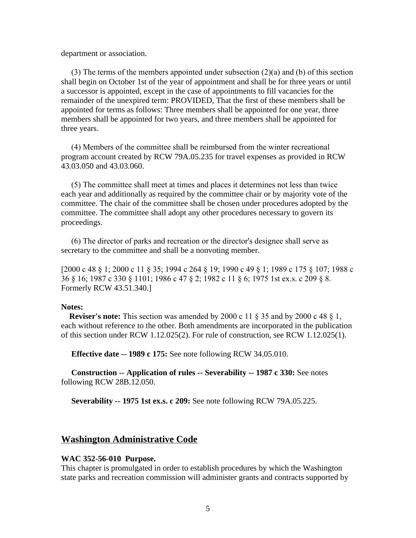department or association.

(3) The terms of the members appointed under subsection  $(2)(a)$  and  $(b)$  of this section shall begin on October 1st of the year of appointment and shall be for three years or until a successor is appointed, except in the case of appointments to fill vacancies for the remainder of the unexpired term: PROVIDED, That the first of these members shall be appointed for terms as follows: Three members shall be appointed for one year, three members shall be appointed for two years, and three members shall be appointed for three years.

 (4) Members of the committee shall be reimbursed from the winter recreational program account created by RCW 79A.05.235 for travel expenses as provided in RCW 43.03.050 and 43.03.060.

 (5) The committee shall meet at times and places it determines not less than twice each year and additionally as required by the committee chair or by majority vote of the committee. The chair of the committee shall be chosen under procedures adopted by the committee. The committee shall adopt any other procedures necessary to govern its proceedings.

 (6) The director of parks and recreation or the director's designee shall serve as secretary to the committee and shall be a nonvoting member.

[2000 c 48 § 1; 2000 c 11 § 35; 1994 c 264 § 19; 1990 c 49 § 1; 1989 c 175 § 107; 1988 c 36 § 16; 1987 c 330 § 1101; 1986 c 47 § 2; 1982 c 11 § 6; 1975 1st ex.s. c 209 § 8. Formerly RCW 43.51.340.]

#### **Notes:**

 **Reviser's note:** This section was amended by 2000 c 11 § 35 and by 2000 c 48 § 1, each without reference to the other. Both amendments are incorporated in the publication of this section under RCW 1.12.025(2). For rule of construction, see RCW 1.12.025(1).

**Effective date -- 1989 c 175:** See note following RCW 34.05.010.

 **Construction -- Application of rules -- Severability -- 1987 c 330:** See notes following RCW 28B.12.050.

**Severability -- 1975 1st ex.s. c 209:** See note following RCW 79A.05.225.

#### **Washington Administrative Code**

#### **WAC 352-56-010 Purpose.**

This chapter is promulgated in order to establish procedures by which the Washington state parks and recreation commission will administer grants and contracts supported by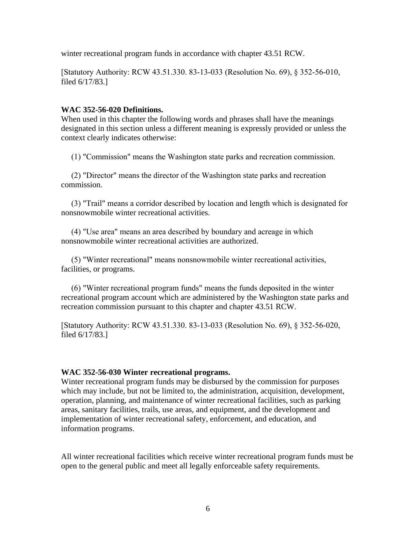winter recreational program funds in accordance with chapter 43.51 RCW.

[Statutory Authority: RCW 43.51.330. 83-13-033 (Resolution No. 69), § 352-56-010, filed 6/17/83.]

#### **WAC 352-56-020 Definitions.**

When used in this chapter the following words and phrases shall have the meanings designated in this section unless a different meaning is expressly provided or unless the context clearly indicates otherwise:

(1) "Commission" means the Washington state parks and recreation commission.

 (2) "Director" means the director of the Washington state parks and recreation commission.

 (3) "Trail" means a corridor described by location and length which is designated for nonsnowmobile winter recreational activities.

 (4) "Use area" means an area described by boundary and acreage in which nonsnowmobile winter recreational activities are authorized.

 (5) "Winter recreational" means nonsnowmobile winter recreational activities, facilities, or programs.

 (6) "Winter recreational program funds" means the funds deposited in the winter recreational program account which are administered by the Washington state parks and recreation commission pursuant to this chapter and chapter 43.51 RCW.

[Statutory Authority: RCW 43.51.330. 83-13-033 (Resolution No. 69), § 352-56-020, filed 6/17/83.]

#### **WAC 352-56-030 Winter recreational programs.**

Winter recreational program funds may be disbursed by the commission for purposes which may include, but not be limited to, the administration, acquisition, development, operation, planning, and maintenance of winter recreational facilities, such as parking areas, sanitary facilities, trails, use areas, and equipment, and the development and implementation of winter recreational safety, enforcement, and education, and information programs.

All winter recreational facilities which receive winter recreational program funds must be open to the general public and meet all legally enforceable safety requirements.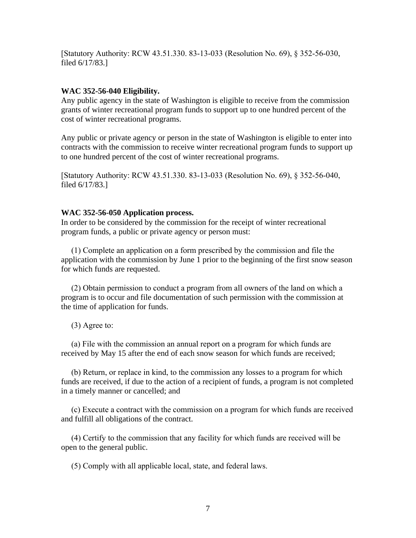[Statutory Authority: RCW 43.51.330. 83-13-033 (Resolution No. 69), § 352-56-030, filed 6/17/83.]

#### **WAC 352-56-040 Eligibility.**

Any public agency in the state of Washington is eligible to receive from the commission grants of winter recreational program funds to support up to one hundred percent of the cost of winter recreational programs.

Any public or private agency or person in the state of Washington is eligible to enter into contracts with the commission to receive winter recreational program funds to support up to one hundred percent of the cost of winter recreational programs.

[Statutory Authority: RCW 43.51.330. 83-13-033 (Resolution No. 69), § 352-56-040, filed 6/17/83.]

#### **WAC 352-56-050 Application process.**

In order to be considered by the commission for the receipt of winter recreational program funds, a public or private agency or person must:

 (1) Complete an application on a form prescribed by the commission and file the application with the commission by June 1 prior to the beginning of the first snow season for which funds are requested.

 (2) Obtain permission to conduct a program from all owners of the land on which a program is to occur and file documentation of such permission with the commission at the time of application for funds.

(3) Agree to:

 (a) File with the commission an annual report on a program for which funds are received by May 15 after the end of each snow season for which funds are received;

 (b) Return, or replace in kind, to the commission any losses to a program for which funds are received, if due to the action of a recipient of funds, a program is not completed in a timely manner or cancelled; and

 (c) Execute a contract with the commission on a program for which funds are received and fulfill all obligations of the contract.

 (4) Certify to the commission that any facility for which funds are received will be open to the general public.

(5) Comply with all applicable local, state, and federal laws.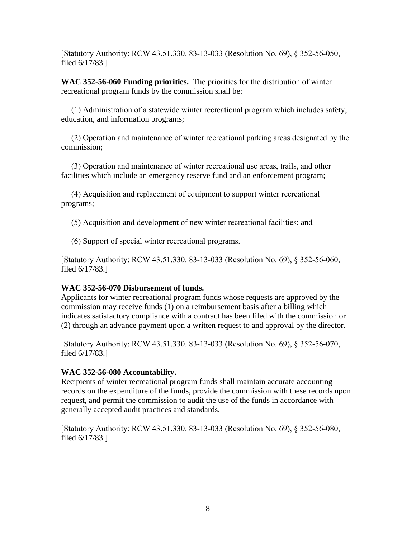[Statutory Authority: RCW 43.51.330. 83-13-033 (Resolution No. 69), § 352-56-050, filed 6/17/83.]

**WAC 352-56-060 Funding priorities.** The priorities for the distribution of winter recreational program funds by the commission shall be:

 (1) Administration of a statewide winter recreational program which includes safety, education, and information programs;

 (2) Operation and maintenance of winter recreational parking areas designated by the commission;

 (3) Operation and maintenance of winter recreational use areas, trails, and other facilities which include an emergency reserve fund and an enforcement program;

 (4) Acquisition and replacement of equipment to support winter recreational programs;

(5) Acquisition and development of new winter recreational facilities; and

(6) Support of special winter recreational programs.

[Statutory Authority: RCW 43.51.330. 83-13-033 (Resolution No. 69), § 352-56-060, filed 6/17/83.]

## **WAC 352-56-070 Disbursement of funds.**

Applicants for winter recreational program funds whose requests are approved by the commission may receive funds (1) on a reimbursement basis after a billing which indicates satisfactory compliance with a contract has been filed with the commission or (2) through an advance payment upon a written request to and approval by the director.

[Statutory Authority: RCW 43.51.330. 83-13-033 (Resolution No. 69), § 352-56-070, filed 6/17/83.]

#### **WAC 352-56-080 Accountability.**

Recipients of winter recreational program funds shall maintain accurate accounting records on the expenditure of the funds, provide the commission with these records upon request, and permit the commission to audit the use of the funds in accordance with generally accepted audit practices and standards.

[Statutory Authority: RCW 43.51.330. 83-13-033 (Resolution No. 69), § 352-56-080, filed 6/17/83.]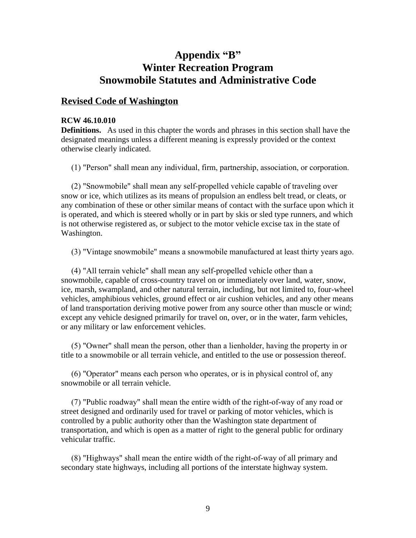# **Appendix "B" Winter Recreation Program Snowmobile Statutes and Administrative Code**

## **Revised Code of Washington**

#### **RCW 46.10.010**

**Definitions.** As used in this chapter the words and phrases in this section shall have the designated meanings unless a different meaning is expressly provided or the context otherwise clearly indicated.

(1) "Person" shall mean any individual, firm, partnership, association, or corporation.

 (2) "Snowmobile" shall mean any self-propelled vehicle capable of traveling over snow or ice, which utilizes as its means of propulsion an endless belt tread, or cleats, or any combination of these or other similar means of contact with the surface upon which it is operated, and which is steered wholly or in part by skis or sled type runners, and which is not otherwise registered as, or subject to the motor vehicle excise tax in the state of Washington.

(3) "Vintage snowmobile" means a snowmobile manufactured at least thirty years ago.

 (4) "All terrain vehicle" shall mean any self-propelled vehicle other than a snowmobile, capable of cross-country travel on or immediately over land, water, snow, ice, marsh, swampland, and other natural terrain, including, but not limited to, four-wheel vehicles, amphibious vehicles, ground effect or air cushion vehicles, and any other means of land transportation deriving motive power from any source other than muscle or wind; except any vehicle designed primarily for travel on, over, or in the water, farm vehicles, or any military or law enforcement vehicles.

 (5) "Owner" shall mean the person, other than a lienholder, having the property in or title to a snowmobile or all terrain vehicle, and entitled to the use or possession thereof.

 (6) "Operator" means each person who operates, or is in physical control of, any snowmobile or all terrain vehicle.

 (7) "Public roadway" shall mean the entire width of the right-of-way of any road or street designed and ordinarily used for travel or parking of motor vehicles, which is controlled by a public authority other than the Washington state department of transportation, and which is open as a matter of right to the general public for ordinary vehicular traffic.

 (8) "Highways" shall mean the entire width of the right-of-way of all primary and secondary state highways, including all portions of the interstate highway system.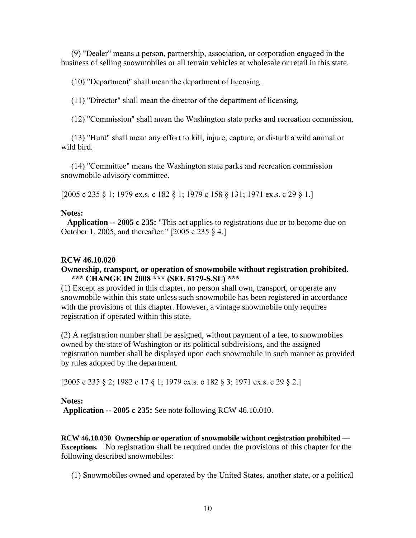(9) "Dealer" means a person, partnership, association, or corporation engaged in the business of selling snowmobiles or all terrain vehicles at wholesale or retail in this state.

(10) "Department" shall mean the department of licensing.

(11) "Director" shall mean the director of the department of licensing.

(12) "Commission" shall mean the Washington state parks and recreation commission.

 (13) "Hunt" shall mean any effort to kill, injure, capture, or disturb a wild animal or wild bird.

 (14) "Committee" means the Washington state parks and recreation commission snowmobile advisory committee.

[2005 c 235 § 1; 1979 ex.s. c 182 § 1; 1979 c 158 § 131; 1971 ex.s. c 29 § 1.]

#### **Notes:**

 **Application -- 2005 c 235:** "This act applies to registrations due or to become due on October 1, 2005, and thereafter." [2005 c 235 § 4.]

#### **RCW 46.10.020**

#### **Ownership, transport, or operation of snowmobile without registration prohibited. \*\*\* CHANGE IN 2008 \*\*\* (SEE 5179-S.SL) \*\*\***

(1) Except as provided in this chapter, no person shall own, transport, or operate any snowmobile within this state unless such snowmobile has been registered in accordance with the provisions of this chapter. However, a vintage snowmobile only requires registration if operated within this state.

(2) A registration number shall be assigned, without payment of a fee, to snowmobiles owned by the state of Washington or its political subdivisions, and the assigned registration number shall be displayed upon each snowmobile in such manner as provided by rules adopted by the department.

[2005 c 235 § 2; 1982 c 17 § 1; 1979 ex.s. c 182 § 3; 1971 ex.s. c 29 § 2.]

#### **Notes:**

**Application -- 2005 c 235:** See note following RCW 46.10.010.

**RCW 46.10.030 Ownership or operation of snowmobile without registration prohibited — Exceptions.** No registration shall be required under the provisions of this chapter for the following described snowmobiles:

(1) Snowmobiles owned and operated by the United States, another state, or a political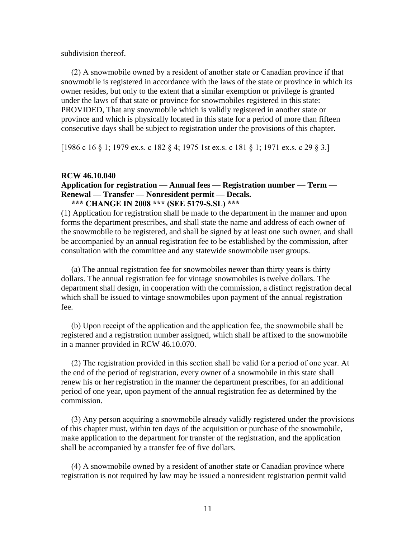subdivision thereof.

 (2) A snowmobile owned by a resident of another state or Canadian province if that snowmobile is registered in accordance with the laws of the state or province in which its owner resides, but only to the extent that a similar exemption or privilege is granted under the laws of that state or province for snowmobiles registered in this state: PROVIDED, That any snowmobile which is validly registered in another state or province and which is physically located in this state for a period of more than fifteen consecutive days shall be subject to registration under the provisions of this chapter.

[1986 c 16 § 1; 1979 ex.s. c 182 § 4; 1975 1st ex.s. c 181 § 1; 1971 ex.s. c 29 § 3.]

#### **RCW 46.10.040**

#### **Application for registration — Annual fees — Registration number — Term — Renewal — Transfer — Nonresident permit — Decals. \*\*\* CHANGE IN 2008 \*\*\* (SEE 5179-S.SL) \*\*\***

(1) Application for registration shall be made to the department in the manner and upon forms the department prescribes, and shall state the name and address of each owner of the snowmobile to be registered, and shall be signed by at least one such owner, and shall be accompanied by an annual registration fee to be established by the commission, after consultation with the committee and any statewide snowmobile user groups.

 (a) The annual registration fee for snowmobiles newer than thirty years is thirty dollars. The annual registration fee for vintage snowmobiles is twelve dollars. The department shall design, in cooperation with the commission, a distinct registration decal which shall be issued to vintage snowmobiles upon payment of the annual registration fee.

 (b) Upon receipt of the application and the application fee, the snowmobile shall be registered and a registration number assigned, which shall be affixed to the snowmobile in a manner provided in RCW 46.10.070.

 (2) The registration provided in this section shall be valid for a period of one year. At the end of the period of registration, every owner of a snowmobile in this state shall renew his or her registration in the manner the department prescribes, for an additional period of one year, upon payment of the annual registration fee as determined by the commission.

 (3) Any person acquiring a snowmobile already validly registered under the provisions of this chapter must, within ten days of the acquisition or purchase of the snowmobile, make application to the department for transfer of the registration, and the application shall be accompanied by a transfer fee of five dollars.

 (4) A snowmobile owned by a resident of another state or Canadian province where registration is not required by law may be issued a nonresident registration permit valid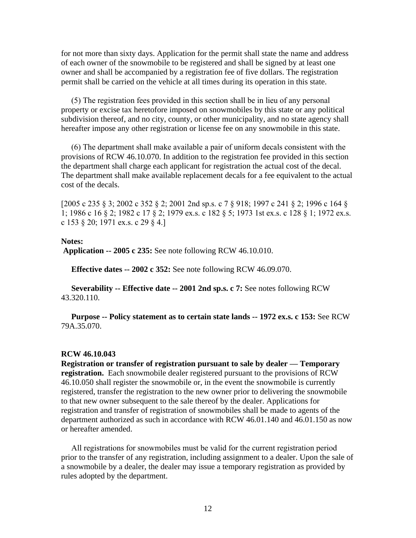for not more than sixty days. Application for the permit shall state the name and address of each owner of the snowmobile to be registered and shall be signed by at least one owner and shall be accompanied by a registration fee of five dollars. The registration permit shall be carried on the vehicle at all times during its operation in this state.

 (5) The registration fees provided in this section shall be in lieu of any personal property or excise tax heretofore imposed on snowmobiles by this state or any political subdivision thereof, and no city, county, or other municipality, and no state agency shall hereafter impose any other registration or license fee on any snowmobile in this state.

 (6) The department shall make available a pair of uniform decals consistent with the provisions of RCW 46.10.070. In addition to the registration fee provided in this section the department shall charge each applicant for registration the actual cost of the decal. The department shall make available replacement decals for a fee equivalent to the actual cost of the decals.

[2005 c 235 § 3; 2002 c 352 § 2; 2001 2nd sp.s. c 7 § 918; 1997 c 241 § 2; 1996 c 164 § 1; 1986 c 16 § 2; 1982 c 17 § 2; 1979 ex.s. c 182 § 5; 1973 1st ex.s. c 128 § 1; 1972 ex.s. c 153 § 20; 1971 ex.s. c 29 § 4.]

#### **Notes:**

**Application -- 2005 c 235:** See note following RCW 46.10.010.

**Effective dates -- 2002 c 352:** See note following RCW 46.09.070.

 **Severability -- Effective date -- 2001 2nd sp.s. c 7:** See notes following RCW 43.320.110.

 **Purpose -- Policy statement as to certain state lands -- 1972 ex.s. c 153:** See RCW 79A.35.070.

#### **RCW 46.10.043**

**Registration or transfer of registration pursuant to sale by dealer — Temporary registration.** Each snowmobile dealer registered pursuant to the provisions of RCW 46.10.050 shall register the snowmobile or, in the event the snowmobile is currently registered, transfer the registration to the new owner prior to delivering the snowmobile to that new owner subsequent to the sale thereof by the dealer. Applications for registration and transfer of registration of snowmobiles shall be made to agents of the department authorized as such in accordance with RCW 46.01.140 and 46.01.150 as now or hereafter amended.

 All registrations for snowmobiles must be valid for the current registration period prior to the transfer of any registration, including assignment to a dealer. Upon the sale of a snowmobile by a dealer, the dealer may issue a temporary registration as provided by rules adopted by the department.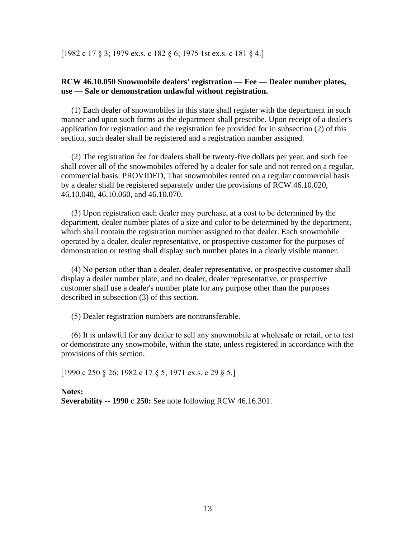[1982 c 17 § 3; 1979 ex.s. c 182 § 6; 1975 1st ex.s. c 181 § 4.]

#### **RCW 46.10.050 Snowmobile dealers' registration — Fee — Dealer number plates, use — Sale or demonstration unlawful without registration.**

(1) Each dealer of snowmobiles in this state shall register with the department in such manner and upon such forms as the department shall prescribe. Upon receipt of a dealer's application for registration and the registration fee provided for in subsection (2) of this section, such dealer shall be registered and a registration number assigned.

 (2) The registration fee for dealers shall be twenty-five dollars per year, and such fee shall cover all of the snowmobiles offered by a dealer for sale and not rented on a regular, commercial basis: PROVIDED, That snowmobiles rented on a regular commercial basis by a dealer shall be registered separately under the provisions of RCW 46.10.020, 46.10.040, 46.10.060, and 46.10.070.

 (3) Upon registration each dealer may purchase, at a cost to be determined by the department, dealer number plates of a size and color to be determined by the department, which shall contain the registration number assigned to that dealer. Each snowmobile operated by a dealer, dealer representative, or prospective customer for the purposes of demonstration or testing shall display such number plates in a clearly visible manner.

 (4) No person other than a dealer, dealer representative, or prospective customer shall display a dealer number plate, and no dealer, dealer representative, or prospective customer shall use a dealer's number plate for any purpose other than the purposes described in subsection (3) of this section.

(5) Dealer registration numbers are nontransferable.

 (6) It is unlawful for any dealer to sell any snowmobile at wholesale or retail, or to test or demonstrate any snowmobile, within the state, unless registered in accordance with the provisions of this section.

[1990 c 250 § 26; 1982 c 17 § 5; 1971 ex.s. c 29 § 5.]

**Notes: Severability -- 1990 c 250:** See note following RCW 46.16.301.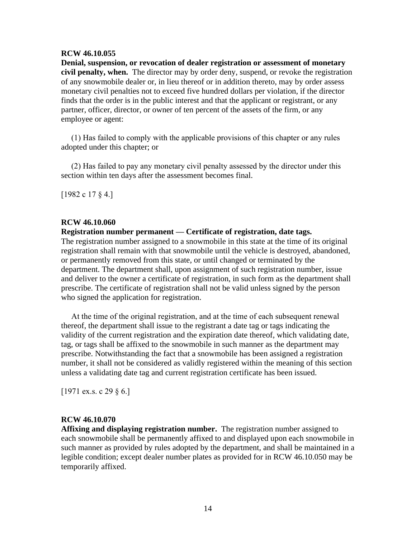#### **RCW 46.10.055**

**Denial, suspension, or revocation of dealer registration or assessment of monetary civil penalty, when.** The director may by order deny, suspend, or revoke the registration of any snowmobile dealer or, in lieu thereof or in addition thereto, may by order assess monetary civil penalties not to exceed five hundred dollars per violation, if the director finds that the order is in the public interest and that the applicant or registrant, or any partner, officer, director, or owner of ten percent of the assets of the firm, or any employee or agent:

 (1) Has failed to comply with the applicable provisions of this chapter or any rules adopted under this chapter; or

 (2) Has failed to pay any monetary civil penalty assessed by the director under this section within ten days after the assessment becomes final.

[1982 c 17 § 4.]

#### **RCW 46.10.060**

**Registration number permanent — Certificate of registration, date tags.**

The registration number assigned to a snowmobile in this state at the time of its original registration shall remain with that snowmobile until the vehicle is destroyed, abandoned, or permanently removed from this state, or until changed or terminated by the department. The department shall, upon assignment of such registration number, issue and deliver to the owner a certificate of registration, in such form as the department shall prescribe. The certificate of registration shall not be valid unless signed by the person who signed the application for registration.

 At the time of the original registration, and at the time of each subsequent renewal thereof, the department shall issue to the registrant a date tag or tags indicating the validity of the current registration and the expiration date thereof, which validating date, tag, or tags shall be affixed to the snowmobile in such manner as the department may prescribe. Notwithstanding the fact that a snowmobile has been assigned a registration number, it shall not be considered as validly registered within the meaning of this section unless a validating date tag and current registration certificate has been issued.

 $[1971 \text{ ex.s. c } 29 \text{ § } 6.]$ 

#### **RCW 46.10.070**

**Affixing and displaying registration number.** The registration number assigned to each snowmobile shall be permanently affixed to and displayed upon each snowmobile in such manner as provided by rules adopted by the department, and shall be maintained in a legible condition; except dealer number plates as provided for in RCW 46.10.050 may be temporarily affixed.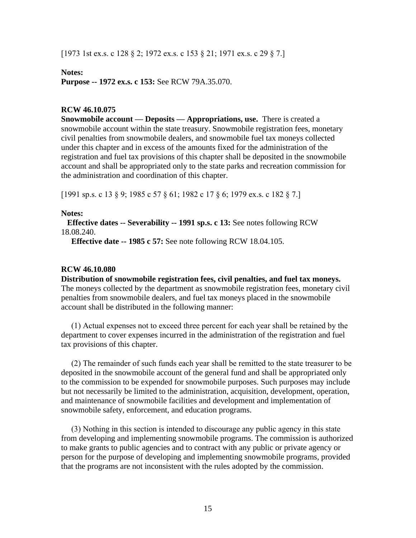[1973 1st ex.s. c 128 § 2; 1972 ex.s. c 153 § 21; 1971 ex.s. c 29 § 7.]

#### **Notes:**

**Purpose -- 1972 ex.s. c 153:** See RCW 79A.35.070.

#### **RCW 46.10.075**

**Snowmobile account — Deposits — Appropriations, use.** There is created a snowmobile account within the state treasury. Snowmobile registration fees, monetary civil penalties from snowmobile dealers, and snowmobile fuel tax moneys collected under this chapter and in excess of the amounts fixed for the administration of the registration and fuel tax provisions of this chapter shall be deposited in the snowmobile account and shall be appropriated only to the state parks and recreation commission for the administration and coordination of this chapter.

[1991 sp.s. c 13 § 9; 1985 c 57 § 61; 1982 c 17 § 6; 1979 ex.s. c 182 § 7.]

#### **Notes:**

 **Effective dates -- Severability -- 1991 sp.s. c 13:** See notes following RCW 18.08.240.

**Effective date -- 1985 c 57:** See note following RCW 18.04.105.

#### **RCW 46.10.080**

**Distribution of snowmobile registration fees, civil penalties, and fuel tax moneys.**  The moneys collected by the department as snowmobile registration fees, monetary civil penalties from snowmobile dealers, and fuel tax moneys placed in the snowmobile account shall be distributed in the following manner:

 (1) Actual expenses not to exceed three percent for each year shall be retained by the department to cover expenses incurred in the administration of the registration and fuel tax provisions of this chapter.

 (2) The remainder of such funds each year shall be remitted to the state treasurer to be deposited in the snowmobile account of the general fund and shall be appropriated only to the commission to be expended for snowmobile purposes. Such purposes may include but not necessarily be limited to the administration, acquisition, development, operation, and maintenance of snowmobile facilities and development and implementation of snowmobile safety, enforcement, and education programs.

 (3) Nothing in this section is intended to discourage any public agency in this state from developing and implementing snowmobile programs. The commission is authorized to make grants to public agencies and to contract with any public or private agency or person for the purpose of developing and implementing snowmobile programs, provided that the programs are not inconsistent with the rules adopted by the commission.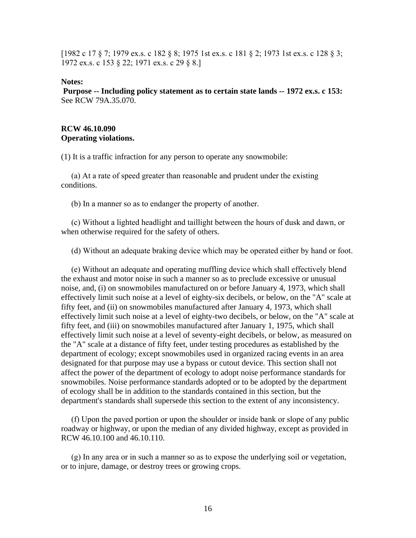[1982 c 17 § 7; 1979 ex.s. c 182 § 8; 1975 1st ex.s. c 181 § 2; 1973 1st ex.s. c 128 § 3; 1972 ex.s. c 153 § 22; 1971 ex.s. c 29 § 8.]

#### **Notes:**

**Purpose -- Including policy statement as to certain state lands -- 1972 ex.s. c 153:**  See RCW 79A.35.070.

#### **RCW 46.10.090 Operating violations.**

(1) It is a traffic infraction for any person to operate any snowmobile:

 (a) At a rate of speed greater than reasonable and prudent under the existing conditions.

(b) In a manner so as to endanger the property of another.

 (c) Without a lighted headlight and taillight between the hours of dusk and dawn, or when otherwise required for the safety of others.

(d) Without an adequate braking device which may be operated either by hand or foot.

 (e) Without an adequate and operating muffling device which shall effectively blend the exhaust and motor noise in such a manner so as to preclude excessive or unusual noise, and, (i) on snowmobiles manufactured on or before January 4, 1973, which shall effectively limit such noise at a level of eighty-six decibels, or below, on the "A" scale at fifty feet, and (ii) on snowmobiles manufactured after January 4, 1973, which shall effectively limit such noise at a level of eighty-two decibels, or below, on the "A" scale at fifty feet, and (iii) on snowmobiles manufactured after January 1, 1975, which shall effectively limit such noise at a level of seventy-eight decibels, or below, as measured on the "A" scale at a distance of fifty feet, under testing procedures as established by the department of ecology; except snowmobiles used in organized racing events in an area designated for that purpose may use a bypass or cutout device. This section shall not affect the power of the department of ecology to adopt noise performance standards for snowmobiles. Noise performance standards adopted or to be adopted by the department of ecology shall be in addition to the standards contained in this section, but the department's standards shall supersede this section to the extent of any inconsistency.

 (f) Upon the paved portion or upon the shoulder or inside bank or slope of any public roadway or highway, or upon the median of any divided highway, except as provided in RCW 46.10.100 and 46.10.110.

 (g) In any area or in such a manner so as to expose the underlying soil or vegetation, or to injure, damage, or destroy trees or growing crops.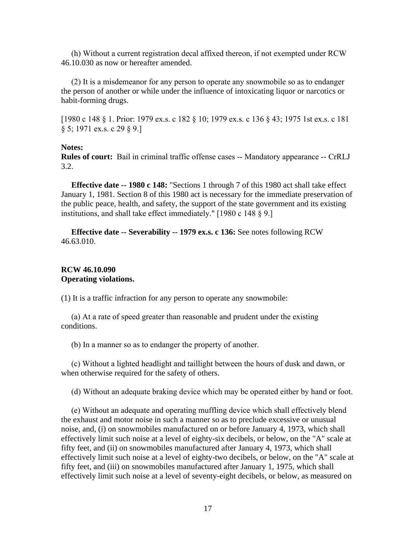(h) Without a current registration decal affixed thereon, if not exempted under RCW 46.10.030 as now or hereafter amended.

 (2) It is a misdemeanor for any person to operate any snowmobile so as to endanger the person of another or while under the influence of intoxicating liquor or narcotics or habit-forming drugs.

[1980 c 148 § 1. Prior: 1979 ex.s. c 182 § 10; 1979 ex.s. c 136 § 43; 1975 1st ex.s. c 181 § 5; 1971 ex.s. c 29 § 9.]

#### **Notes:**

**Rules of court:** Bail in criminal traffic offense cases -- Mandatory appearance -- CrRLJ 3.2.

 **Effective date -- 1980 c 148:** "Sections 1 through 7 of this 1980 act shall take effect January 1, 1981. Section 8 of this 1980 act is necessary for the immediate preservation of the public peace, health, and safety, the support of the state government and its existing institutions, and shall take effect immediately." [1980 c 148 § 9.]

 **Effective date -- Severability -- 1979 ex.s. c 136:** See notes following RCW 46.63.010.

#### **RCW 46.10.090 Operating violations.**

(1) It is a traffic infraction for any person to operate any snowmobile:

 (a) At a rate of speed greater than reasonable and prudent under the existing conditions.

(b) In a manner so as to endanger the property of another.

 (c) Without a lighted headlight and taillight between the hours of dusk and dawn, or when otherwise required for the safety of others.

(d) Without an adequate braking device which may be operated either by hand or foot.

 (e) Without an adequate and operating muffling device which shall effectively blend the exhaust and motor noise in such a manner so as to preclude excessive or unusual noise, and, (i) on snowmobiles manufactured on or before January 4, 1973, which shall effectively limit such noise at a level of eighty-six decibels, or below, on the "A" scale at fifty feet, and (ii) on snowmobiles manufactured after January 4, 1973, which shall effectively limit such noise at a level of eighty-two decibels, or below, on the "A" scale at fifty feet, and (iii) on snowmobiles manufactured after January 1, 1975, which shall effectively limit such noise at a level of seventy-eight decibels, or below, as measured on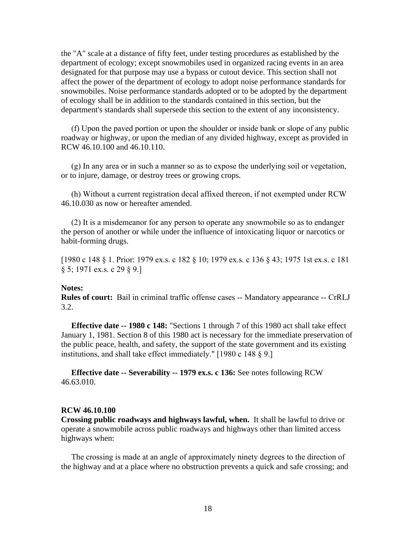the "A" scale at a distance of fifty feet, under testing procedures as established by the department of ecology; except snowmobiles used in organized racing events in an area designated for that purpose may use a bypass or cutout device. This section shall not affect the power of the department of ecology to adopt noise performance standards for snowmobiles. Noise performance standards adopted or to be adopted by the department of ecology shall be in addition to the standards contained in this section, but the department's standards shall supersede this section to the extent of any inconsistency.

 (f) Upon the paved portion or upon the shoulder or inside bank or slope of any public roadway or highway, or upon the median of any divided highway, except as provided in RCW 46.10.100 and 46.10.110.

 (g) In any area or in such a manner so as to expose the underlying soil or vegetation, or to injure, damage, or destroy trees or growing crops.

 (h) Without a current registration decal affixed thereon, if not exempted under RCW 46.10.030 as now or hereafter amended.

 (2) It is a misdemeanor for any person to operate any snowmobile so as to endanger the person of another or while under the influence of intoxicating liquor or narcotics or habit-forming drugs.

[1980 c 148 § 1. Prior: 1979 ex.s. c 182 § 10; 1979 ex.s. c 136 § 43; 1975 1st ex.s. c 181 § 5; 1971 ex.s. c 29 § 9.]

#### **Notes:**

**Rules of court:** Bail in criminal traffic offense cases -- Mandatory appearance -- CrRLJ 3.2.

 **Effective date -- 1980 c 148:** "Sections 1 through 7 of this 1980 act shall take effect January 1, 1981. Section 8 of this 1980 act is necessary for the immediate preservation of the public peace, health, and safety, the support of the state government and its existing institutions, and shall take effect immediately." [1980 c 148 § 9.]

 **Effective date -- Severability -- 1979 ex.s. c 136:** See notes following RCW 46.63.010.

#### **RCW 46.10.100**

**Crossing public roadways and highways lawful, when.** It shall be lawful to drive or operate a snowmobile across public roadways and highways other than limited access highways when:

 The crossing is made at an angle of approximately ninety degrees to the direction of the highway and at a place where no obstruction prevents a quick and safe crossing; and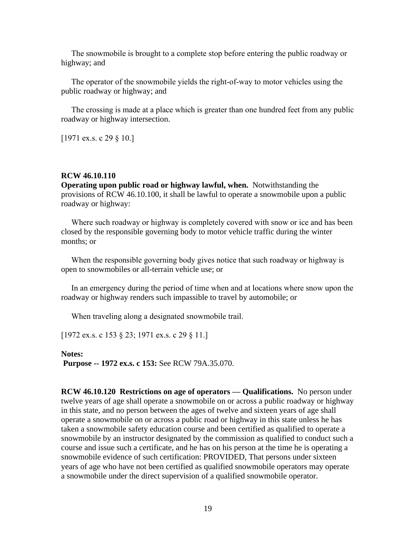The snowmobile is brought to a complete stop before entering the public roadway or highway; and

 The operator of the snowmobile yields the right-of-way to motor vehicles using the public roadway or highway; and

 The crossing is made at a place which is greater than one hundred feet from any public roadway or highway intersection.

[1971 ex.s. c 29 § 10.]

#### **RCW 46.10.110**

**Operating upon public road or highway lawful, when.** Notwithstanding the provisions of RCW 46.10.100, it shall be lawful to operate a snowmobile upon a public roadway or highway:

Where such roadway or highway is completely covered with snow or ice and has been closed by the responsible governing body to motor vehicle traffic during the winter months; or

 When the responsible governing body gives notice that such roadway or highway is open to snowmobiles or all-terrain vehicle use; or

 In an emergency during the period of time when and at locations where snow upon the roadway or highway renders such impassible to travel by automobile; or

When traveling along a designated snowmobile trail.

[1972 ex.s. c 153 § 23; 1971 ex.s. c 29 § 11.]

**Notes: Purpose -- 1972 ex.s. c 153:** See RCW 79A.35.070.

**RCW 46.10.120 Restrictions on age of operators — Qualifications.** No person under twelve years of age shall operate a snowmobile on or across a public roadway or highway in this state, and no person between the ages of twelve and sixteen years of age shall operate a snowmobile on or across a public road or highway in this state unless he has taken a snowmobile safety education course and been certified as qualified to operate a snowmobile by an instructor designated by the commission as qualified to conduct such a course and issue such a certificate, and he has on his person at the time he is operating a snowmobile evidence of such certification: PROVIDED, That persons under sixteen years of age who have not been certified as qualified snowmobile operators may operate a snowmobile under the direct supervision of a qualified snowmobile operator.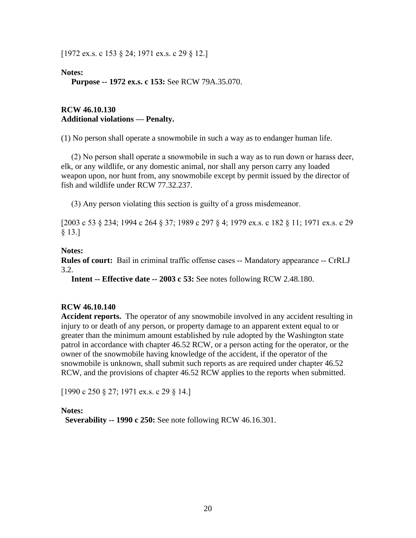[1972 ex.s. c 153 § 24; 1971 ex.s. c 29 § 12.]

**Notes:**

**Purpose -- 1972 ex.s. c 153:** See RCW 79A.35.070.

#### **RCW 46.10.130 Additional violations — Penalty.**

(1) No person shall operate a snowmobile in such a way as to endanger human life.

 (2) No person shall operate a snowmobile in such a way as to run down or harass deer, elk, or any wildlife, or any domestic animal, nor shall any person carry any loaded weapon upon, nor hunt from, any snowmobile except by permit issued by the director of fish and wildlife under RCW 77.32.237.

(3) Any person violating this section is guilty of a gross misdemeanor.

[2003 c 53 § 234; 1994 c 264 § 37; 1989 c 297 § 4; 1979 ex.s. c 182 § 11; 1971 ex.s. c 29 § 13.]

**Notes:**

**Rules of court:** Bail in criminal traffic offense cases -- Mandatory appearance -- CrRLJ 3.2.

**Intent -- Effective date -- 2003 c 53:** See notes following RCW 2.48.180.

#### **RCW 46.10.140**

**Accident reports.** The operator of any snowmobile involved in any accident resulting in injury to or death of any person, or property damage to an apparent extent equal to or greater than the minimum amount established by rule adopted by the Washington state patrol in accordance with chapter 46.52 RCW, or a person acting for the operator, or the owner of the snowmobile having knowledge of the accident, if the operator of the snowmobile is unknown, shall submit such reports as are required under chapter 46.52 RCW, and the provisions of chapter 46.52 RCW applies to the reports when submitted.

[1990 c 250 § 27; 1971 ex.s. c 29 § 14.]

**Notes:**

**Severability -- 1990 c 250:** See note following RCW 46.16.301.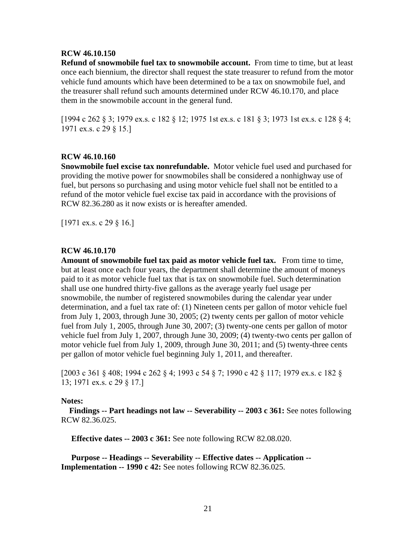#### **RCW 46.10.150**

**Refund of snowmobile fuel tax to snowmobile account.** From time to time, but at least once each biennium, the director shall request the state treasurer to refund from the motor vehicle fund amounts which have been determined to be a tax on snowmobile fuel, and the treasurer shall refund such amounts determined under RCW 46.10.170, and place them in the snowmobile account in the general fund.

[1994 c 262 § 3; 1979 ex.s. c 182 § 12; 1975 1st ex.s. c 181 § 3; 1973 1st ex.s. c 128 § 4; 1971 ex.s. c 29 § 15.]

#### **RCW 46.10.160**

**Snowmobile fuel excise tax nonrefundable.** Motor vehicle fuel used and purchased for providing the motive power for snowmobiles shall be considered a nonhighway use of fuel, but persons so purchasing and using motor vehicle fuel shall not be entitled to a refund of the motor vehicle fuel excise tax paid in accordance with the provisions of RCW 82.36.280 as it now exists or is hereafter amended.

[1971 ex.s. c 29 § 16.]

#### **RCW 46.10.170**

**Amount of snowmobile fuel tax paid as motor vehicle fuel tax.** From time to time, but at least once each four years, the department shall determine the amount of moneys paid to it as motor vehicle fuel tax that is tax on snowmobile fuel. Such determination shall use one hundred thirty-five gallons as the average yearly fuel usage per snowmobile, the number of registered snowmobiles during the calendar year under determination, and a fuel tax rate of: (1) Nineteen cents per gallon of motor vehicle fuel from July 1, 2003, through June 30, 2005; (2) twenty cents per gallon of motor vehicle fuel from July 1, 2005, through June 30, 2007; (3) twenty-one cents per gallon of motor vehicle fuel from July 1, 2007, through June 30, 2009; (4) twenty-two cents per gallon of motor vehicle fuel from July 1, 2009, through June 30, 2011; and (5) twenty-three cents per gallon of motor vehicle fuel beginning July 1, 2011, and thereafter.

[2003 c 361 § 408; 1994 c 262 § 4; 1993 c 54 § 7; 1990 c 42 § 117; 1979 ex.s. c 182 § 13; 1971 ex.s. c 29 § 17.]

#### **Notes:**

 **Findings -- Part headings not law -- Severability -- 2003 c 361:** See notes following RCW 82.36.025.

**Effective dates -- 2003 c 361:** See note following RCW 82.08.020.

 **Purpose -- Headings -- Severability -- Effective dates -- Application -- Implementation -- 1990 c 42:** See notes following RCW 82.36.025.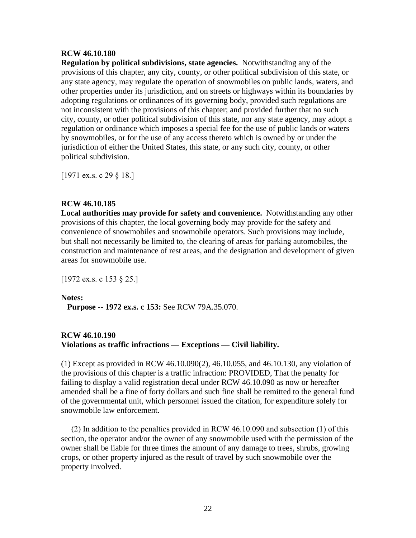#### **RCW 46.10.180**

**Regulation by political subdivisions, state agencies.** Notwithstanding any of the provisions of this chapter, any city, county, or other political subdivision of this state, or any state agency, may regulate the operation of snowmobiles on public lands, waters, and other properties under its jurisdiction, and on streets or highways within its boundaries by adopting regulations or ordinances of its governing body, provided such regulations are not inconsistent with the provisions of this chapter; and provided further that no such city, county, or other political subdivision of this state, nor any state agency, may adopt a regulation or ordinance which imposes a special fee for the use of public lands or waters by snowmobiles, or for the use of any access thereto which is owned by or under the jurisdiction of either the United States, this state, or any such city, county, or other political subdivision.

[1971 ex.s. c 29 § 18.]

#### **RCW 46.10.185**

**Local authorities may provide for safety and convenience.** Notwithstanding any other provisions of this chapter, the local governing body may provide for the safety and convenience of snowmobiles and snowmobile operators. Such provisions may include, but shall not necessarily be limited to, the clearing of areas for parking automobiles, the construction and maintenance of rest areas, and the designation and development of given areas for snowmobile use.

[1972 ex.s. c 153 § 25.]

#### **Notes:**

**Purpose -- 1972 ex.s. c 153:** See RCW 79A.35.070.

## **RCW 46.10.190 Violations as traffic infractions — Exceptions — Civil liability.**

(1) Except as provided in RCW 46.10.090(2), 46.10.055, and 46.10.130, any violation of the provisions of this chapter is a traffic infraction: PROVIDED, That the penalty for failing to display a valid registration decal under RCW 46.10.090 as now or hereafter amended shall be a fine of forty dollars and such fine shall be remitted to the general fund of the governmental unit, which personnel issued the citation, for expenditure solely for snowmobile law enforcement.

 (2) In addition to the penalties provided in RCW 46.10.090 and subsection (1) of this section, the operator and/or the owner of any snowmobile used with the permission of the owner shall be liable for three times the amount of any damage to trees, shrubs, growing crops, or other property injured as the result of travel by such snowmobile over the property involved.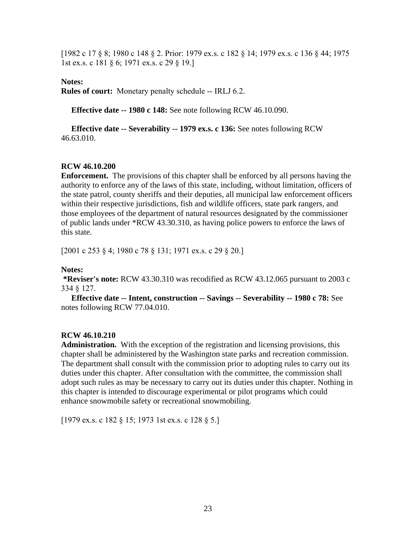[1982 c 17 § 8; 1980 c 148 § 2. Prior: 1979 ex.s. c 182 § 14; 1979 ex.s. c 136 § 44; 1975 1st ex.s. c 181 § 6; 1971 ex.s. c 29 § 19.]

#### **Notes:**

**Rules of court:** Monetary penalty schedule -- IRLJ 6.2.

**Effective date -- 1980 c 148:** See note following RCW 46.10.090.

 **Effective date -- Severability -- 1979 ex.s. c 136:** See notes following RCW 46.63.010.

## **RCW 46.10.200**

**Enforcement.** The provisions of this chapter shall be enforced by all persons having the authority to enforce any of the laws of this state, including, without limitation, officers of the state patrol, county sheriffs and their deputies, all municipal law enforcement officers within their respective jurisdictions, fish and wildlife officers, state park rangers, and those employees of the department of natural resources designated by the commissioner of public lands under \*RCW 43.30.310, as having police powers to enforce the laws of this state.

[2001 c 253 § 4; 1980 c 78 § 131; 1971 ex.s. c 29 § 20.]

#### **Notes:**

**\*Reviser's note:** RCW 43.30.310 was recodified as RCW 43.12.065 pursuant to 2003 c 334 § 127.

 **Effective date -- Intent, construction -- Savings -- Severability -- 1980 c 78:** See notes following RCW 77.04.010.

## **RCW 46.10.210**

**Administration.** With the exception of the registration and licensing provisions, this chapter shall be administered by the Washington state parks and recreation commission. The department shall consult with the commission prior to adopting rules to carry out its duties under this chapter. After consultation with the committee, the commission shall adopt such rules as may be necessary to carry out its duties under this chapter. Nothing in this chapter is intended to discourage experimental or pilot programs which could enhance snowmobile safety or recreational snowmobiling.

[1979 ex.s. c 182 § 15; 1973 1st ex.s. c 128 § 5.]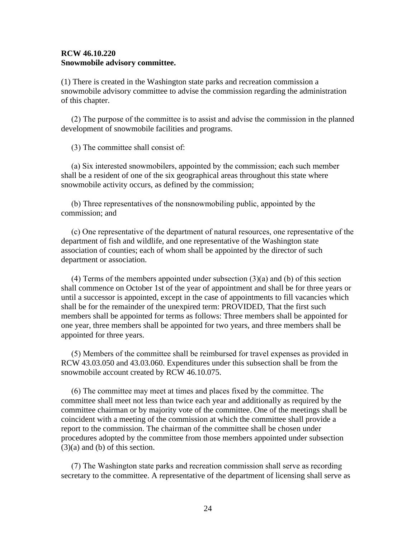#### **RCW 46.10.220 Snowmobile advisory committee.**

(1) There is created in the Washington state parks and recreation commission a snowmobile advisory committee to advise the commission regarding the administration of this chapter.

 (2) The purpose of the committee is to assist and advise the commission in the planned development of snowmobile facilities and programs.

(3) The committee shall consist of:

 (a) Six interested snowmobilers, appointed by the commission; each such member shall be a resident of one of the six geographical areas throughout this state where snowmobile activity occurs, as defined by the commission;

 (b) Three representatives of the nonsnowmobiling public, appointed by the commission; and

 (c) One representative of the department of natural resources, one representative of the department of fish and wildlife, and one representative of the Washington state association of counties; each of whom shall be appointed by the director of such department or association.

 (4) Terms of the members appointed under subsection (3)(a) and (b) of this section shall commence on October 1st of the year of appointment and shall be for three years or until a successor is appointed, except in the case of appointments to fill vacancies which shall be for the remainder of the unexpired term: PROVIDED, That the first such members shall be appointed for terms as follows: Three members shall be appointed for one year, three members shall be appointed for two years, and three members shall be appointed for three years.

 (5) Members of the committee shall be reimbursed for travel expenses as provided in RCW 43.03.050 and 43.03.060. Expenditures under this subsection shall be from the snowmobile account created by RCW 46.10.075.

 (6) The committee may meet at times and places fixed by the committee. The committee shall meet not less than twice each year and additionally as required by the committee chairman or by majority vote of the committee. One of the meetings shall be coincident with a meeting of the commission at which the committee shall provide a report to the commission. The chairman of the committee shall be chosen under procedures adopted by the committee from those members appointed under subsection (3)(a) and (b) of this section.

 (7) The Washington state parks and recreation commission shall serve as recording secretary to the committee. A representative of the department of licensing shall serve as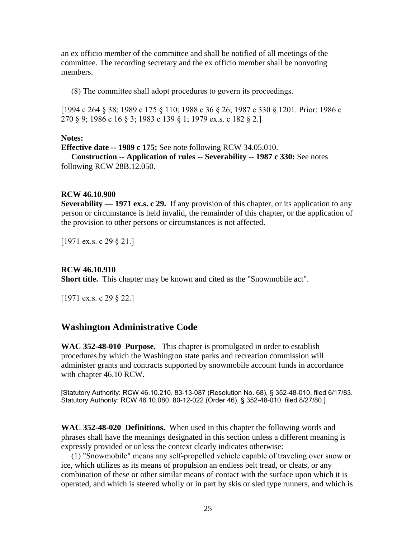an ex officio member of the committee and shall be notified of all meetings of the committee. The recording secretary and the ex officio member shall be nonvoting members.

(8) The committee shall adopt procedures to govern its proceedings.

[1994 c 264 § 38; 1989 c 175 § 110; 1988 c 36 § 26; 1987 c 330 § 1201. Prior: 1986 c 270 § 9; 1986 c 16 § 3; 1983 c 139 § 1; 1979 ex.s. c 182 § 2.]

#### **Notes:**

**Effective date -- 1989 c 175:** See note following RCW 34.05.010. **Construction -- Application of rules -- Severability -- 1987 c 330:** See notes following RCW 28B.12.050.

#### **RCW 46.10.900**

**Severability — 1971 ex.s. c 29.** If any provision of this chapter, or its application to any person or circumstance is held invalid, the remainder of this chapter, or the application of the provision to other persons or circumstances is not affected.

[1971 ex.s. c 29 § 21.]

#### **RCW 46.10.910**

**Short title.** This chapter may be known and cited as the "Snowmobile act".

[1971 ex.s. c 29 § 22.]

# **Washington Administrative Code**

**WAC 352-48-010 Purpose.** This chapter is promulgated in order to establish procedures by which the Washington state parks and recreation commission will administer grants and contracts supported by snowmobile account funds in accordance with chapter 46.10 RCW.

[Statutory Authority: RCW 46.10.210. 83-13-087 (Resolution No. 68), § 352-48-010, filed 6/17/83. Statutory Authority: RCW 46.10.080. 80-12-022 (Order 46), § 352-48-010, filed 8/27/80.]

**WAC 352-48-020 Definitions.** When used in this chapter the following words and phrases shall have the meanings designated in this section unless a different meaning is expressly provided or unless the context clearly indicates otherwise:

 (1) "Snowmobile" means any self-propelled vehicle capable of traveling over snow or ice, which utilizes as its means of propulsion an endless belt tread, or cleats, or any combination of these or other similar means of contact with the surface upon which it is operated, and which is steered wholly or in part by skis or sled type runners, and which is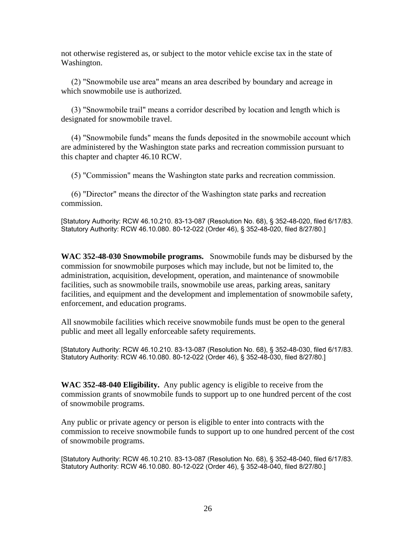not otherwise registered as, or subject to the motor vehicle excise tax in the state of Washington.

 (2) "Snowmobile use area" means an area described by boundary and acreage in which snowmobile use is authorized.

 (3) "Snowmobile trail" means a corridor described by location and length which is designated for snowmobile travel.

 (4) "Snowmobile funds" means the funds deposited in the snowmobile account which are administered by the Washington state parks and recreation commission pursuant to this chapter and chapter 46.10 RCW.

(5) "Commission" means the Washington state parks and recreation commission.

 (6) "Director" means the director of the Washington state parks and recreation commission.

[Statutory Authority: RCW 46.10.210. 83-13-087 (Resolution No. 68), § 352-48-020, filed 6/17/83. Statutory Authority: RCW 46.10.080. 80-12-022 (Order 46), § 352-48-020, filed 8/27/80.]

**WAC 352-48-030 Snowmobile programs.** Snowmobile funds may be disbursed by the commission for snowmobile purposes which may include, but not be limited to, the administration, acquisition, development, operation, and maintenance of snowmobile facilities, such as snowmobile trails, snowmobile use areas, parking areas, sanitary facilities, and equipment and the development and implementation of snowmobile safety, enforcement, and education programs.

All snowmobile facilities which receive snowmobile funds must be open to the general public and meet all legally enforceable safety requirements.

[Statutory Authority: RCW 46.10.210. 83-13-087 (Resolution No. 68), § 352-48-030, filed 6/17/83. Statutory Authority: RCW 46.10.080. 80-12-022 (Order 46), § 352-48-030, filed 8/27/80.]

**WAC 352-48-040 Eligibility.** Any public agency is eligible to receive from the commission grants of snowmobile funds to support up to one hundred percent of the cost of snowmobile programs.

Any public or private agency or person is eligible to enter into contracts with the commission to receive snowmobile funds to support up to one hundred percent of the cost of snowmobile programs.

[Statutory Authority: RCW 46.10.210. 83-13-087 (Resolution No. 68), § 352-48-040, filed 6/17/83. Statutory Authority: RCW 46.10.080. 80-12-022 (Order 46), § 352-48-040, filed 8/27/80.]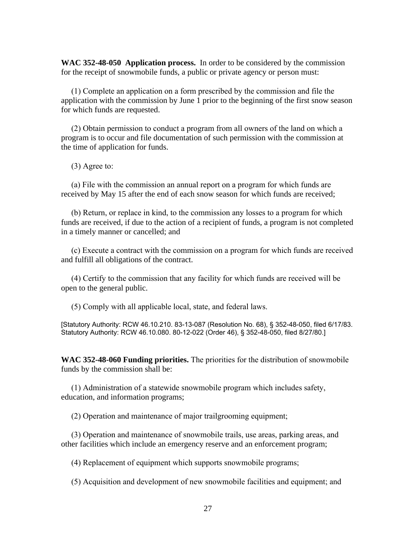**WAC 352-48-050 Application process.** In order to be considered by the commission for the receipt of snowmobile funds, a public or private agency or person must:

 (1) Complete an application on a form prescribed by the commission and file the application with the commission by June 1 prior to the beginning of the first snow season for which funds are requested.

 (2) Obtain permission to conduct a program from all owners of the land on which a program is to occur and file documentation of such permission with the commission at the time of application for funds.

(3) Agree to:

 (a) File with the commission an annual report on a program for which funds are received by May 15 after the end of each snow season for which funds are received;

 (b) Return, or replace in kind, to the commission any losses to a program for which funds are received, if due to the action of a recipient of funds, a program is not completed in a timely manner or cancelled; and

 (c) Execute a contract with the commission on a program for which funds are received and fulfill all obligations of the contract.

 (4) Certify to the commission that any facility for which funds are received will be open to the general public.

(5) Comply with all applicable local, state, and federal laws.

[Statutory Authority: RCW 46.10.210. 83-13-087 (Resolution No. 68), § 352-48-050, filed 6/17/83. Statutory Authority: RCW 46.10.080. 80-12-022 (Order 46), § 352-48-050, filed 8/27/80.]

**WAC 352-48-060 Funding priorities.** The priorities for the distribution of snowmobile funds by the commission shall be:

 (1) Administration of a statewide snowmobile program which includes safety, education, and information programs;

(2) Operation and maintenance of major trailgrooming equipment;

 (3) Operation and maintenance of snowmobile trails, use areas, parking areas, and other facilities which include an emergency reserve and an enforcement program;

(4) Replacement of equipment which supports snowmobile programs;

(5) Acquisition and development of new snowmobile facilities and equipment; and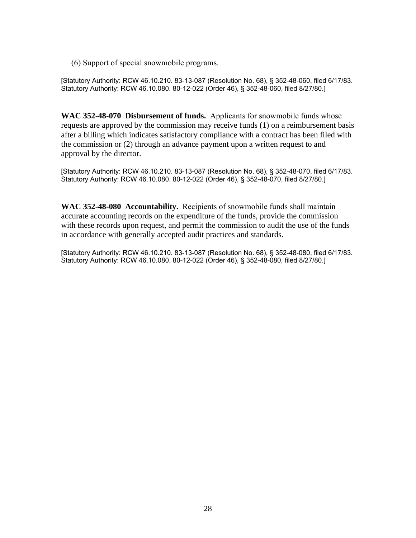(6) Support of special snowmobile programs.

[Statutory Authority: RCW 46.10.210. 83-13-087 (Resolution No. 68), § 352-48-060, filed 6/17/83. Statutory Authority: RCW 46.10.080. 80-12-022 (Order 46), § 352-48-060, filed 8/27/80.]

**WAC 352-48-070 Disbursement of funds.** Applicants for snowmobile funds whose requests are approved by the commission may receive funds (1) on a reimbursement basis after a billing which indicates satisfactory compliance with a contract has been filed with the commission or (2) through an advance payment upon a written request to and approval by the director.

[Statutory Authority: RCW 46.10.210. 83-13-087 (Resolution No. 68), § 352-48-070, filed 6/17/83. Statutory Authority: RCW 46.10.080. 80-12-022 (Order 46), § 352-48-070, filed 8/27/80.]

**WAC 352-48-080 Accountability.** Recipients of snowmobile funds shall maintain accurate accounting records on the expenditure of the funds, provide the commission with these records upon request, and permit the commission to audit the use of the funds in accordance with generally accepted audit practices and standards.

[Statutory Authority: RCW 46.10.210. 83-13-087 (Resolution No. 68), § 352-48-080, filed 6/17/83. Statutory Authority: RCW 46.10.080. 80-12-022 (Order 46), § 352-48-080, filed 8/27/80.]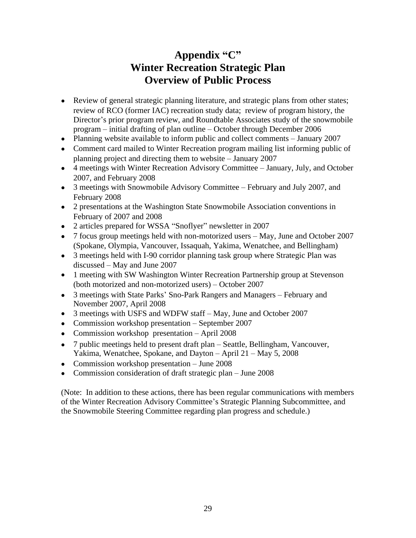# **Appendix "C" Winter Recreation Strategic Plan Overview of Public Process**

- Review of general strategic planning literature, and strategic plans from other states; review of RCO (former IAC) recreation study data; review of program history, the Director's prior program review, and Roundtable Associates study of the snowmobile program – initial drafting of plan outline – October through December 2006
- Planning website available to inform public and collect comments January 2007
- Comment card mailed to Winter Recreation program mailing list informing public of planning project and directing them to website – January 2007
- 4 meetings with Winter Recreation Advisory Committee January, July, and October 2007, and February 2008
- 3 meetings with Snowmobile Advisory Committee February and July 2007, and February 2008
- 2 presentations at the Washington State Snowmobile Association conventions in February of 2007 and 2008
- 2 articles prepared for WSSA "Snoflyer" newsletter in 2007
- 7 focus group meetings held with non-motorized users May, June and October 2007 (Spokane, Olympia, Vancouver, Issaquah, Yakima, Wenatchee, and Bellingham)
- 3 meetings held with I-90 corridor planning task group where Strategic Plan was discussed – May and June 2007
- 1 meeting with SW Washington Winter Recreation Partnership group at Stevenson (both motorized and non-motorized users) – October 2007
- 3 meetings with State Parks' Sno-Park Rangers and Managers February and November 2007, April 2008
- 3 meetings with USFS and WDFW staff May, June and October 2007
- Commission workshop presentation September 2007
- Commission workshop presentation April 2008
- 7 public meetings held to present draft plan Seattle, Bellingham, Vancouver, Yakima, Wenatchee, Spokane, and Dayton – April 21 – May 5, 2008
- Commission workshop presentation June 2008
- Commission consideration of draft strategic plan June 2008

(Note: In addition to these actions, there has been regular communications with members of the Winter Recreation Advisory Committee's Strategic Planning Subcommittee, and the Snowmobile Steering Committee regarding plan progress and schedule.)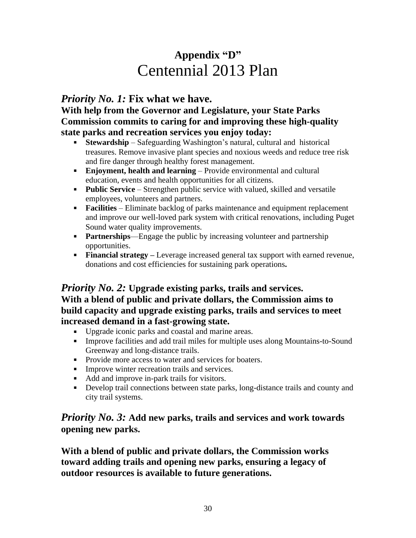# **Appendix "D"** Centennial 2013 Plan

# *Priority No. 1:* **Fix what we have.**

**With help from the Governor and Legislature, your State Parks Commission commits to caring for and improving these high-quality state parks and recreation services you enjoy today:** 

- **Stewardship** Safeguarding Washington's natural, cultural and historical treasures. Remove invasive plant species and noxious weeds and reduce tree risk and fire danger through healthy forest management.
- **Enjoyment, health and learning** Provide environmental and cultural education, events and health opportunities for all citizens.
- **Public Service** Strengthen public service with valued, skilled and versatile employees, volunteers and partners.
- **Facilities** Eliminate backlog of parks maintenance and equipment replacement and improve our well-loved park system with critical renovations, including Puget Sound water quality improvements.
- **Partnerships—Engage the public by increasing volunteer and partnership** opportunities.
- **Financial strategy –** Leverage increased general tax support with earned revenue, donations and cost efficiencies for sustaining park operations**.**

# *Priority No. 2:* **Upgrade existing parks, trails and services. With a blend of public and private dollars, the Commission aims to build capacity and upgrade existing parks, trails and services to meet increased demand in a fast-growing state.**

- Upgrade iconic parks and coastal and marine areas.
- Improve facilities and add trail miles for multiple uses along Mountains-to-Sound Greenway and long-distance trails.
- Provide more access to water and services for boaters.
- **Improve winter recreation trails and services.**
- Add and improve in-park trails for visitors.
- Develop trail connections between state parks, long-distance trails and county and city trail systems.

# *Priority No. 3:* **Add new parks, trails and services and work towards opening new parks.**

**With a blend of public and private dollars, the Commission works toward adding trails and opening new parks, ensuring a legacy of outdoor resources is available to future generations.**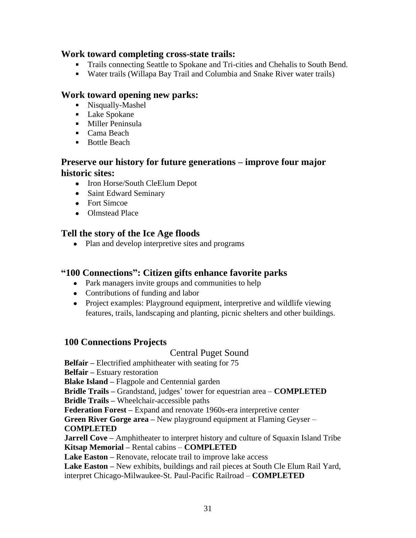# **Work toward completing cross-state trails:**

- Trails connecting Seattle to Spokane and Tri-cities and Chehalis to South Bend.
- Water trails (Willapa Bay Trail and Columbia and Snake River water trails)

# **Work toward opening new parks:**

- **Nisqually-Mashel**
- **Lake Spokane**
- **Miller Peninsula**
- **Cama Beach**
- **Bottle Beach**

# **Preserve our history for future generations – improve four major historic sites:**

- Iron Horse/South CleElum Depot
- Saint Edward Seminary
- Fort Simcoe
- Olmstead Place

# **Tell the story of the Ice Age floods**

• Plan and develop interpretive sites and programs

# **"100 Connections": Citizen gifts enhance favorite parks**

- Park managers invite groups and communities to help
- Contributions of funding and labor
- Project examples: Playground equipment, interpretive and wildlife viewing features, trails, landscaping and planting, picnic shelters and other buildings.

# **100 Connections Projects**

# Central Puget Sound

**Belfair –** Electrified amphitheater with seating for 75

**Belfair –** Estuary restoration

**Blake Island –** Flagpole and Centennial garden

**Bridle Trails –** Grandstand, judges' tower for equestrian area – **COMPLETED**

**Bridle Trails –** Wheelchair-accessible paths

**Federation Forest –** Expand and renovate 1960s-era interpretive center

**Green River Gorge area –** New playground equipment at Flaming Geyser – **COMPLETED**

**Jarrell Cove –** Amphitheater to interpret history and culture of Squaxin Island Tribe **Kitsap Memorial –** Rental cabins – **COMPLETED**

Lake Easton – Renovate, relocate trail to improve lake access

Lake Easton – New exhibits, buildings and rail pieces at South Cle Elum Rail Yard, interpret Chicago-Milwaukee-St. Paul-Pacific Railroad – **COMPLETED**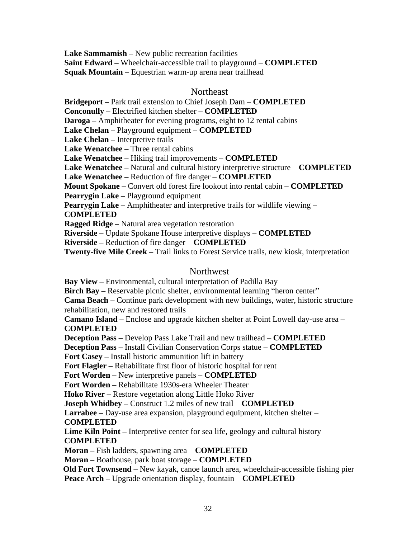**Lake Sammamish –** New public recreation facilities **Saint Edward –** Wheelchair-accessible trail to playground – **COMPLETED Squak Mountain –** Equestrian warm-up arena near trailhead

#### **Northeast**

**Bridgeport –** Park trail extension to Chief Joseph Dam – **COMPLETED**

**Conconully –** Electrified kitchen shelter – **COMPLETED**

**Daroga –** Amphitheater for evening programs, eight to 12 rental cabins

**Lake Chelan –** Playground equipment – **COMPLETED**

**Lake Chelan –** Interpretive trails

**Lake Wenatchee –** Three rental cabins

**Lake Wenatchee –** Hiking trail improvements – **COMPLETED**

**Lake Wenatchee –** Natural and cultural history interpretive structure – **COMPLETED**

**Lake Wenatchee –** Reduction of fire danger – **COMPLETED**

**Mount Spokane –** Convert old forest fire lookout into rental cabin – **COMPLETED**

**Pearrygin Lake –** Playground equipment

**Pearrygin Lake –** Amphitheater and interpretive trails for wildlife viewing –

**COMPLETED**

**Ragged Ridge –** Natural area vegetation restoration

**Riverside –** Update Spokane House interpretive displays – **COMPLETED**

**Riverside –** Reduction of fire danger – **COMPLETED**

**Twenty-five Mile Creek –** Trail links to Forest Service trails, new kiosk, interpretation

#### Northwest

**Bay View –** Environmental, cultural interpretation of Padilla Bay

**Birch Bay –** Reservable picnic shelter, environmental learning "heron center"

**Cama Beach –** Continue park development with new buildings, water, historic structure rehabilitation, new and restored trails

**Camano Island –** Enclose and upgrade kitchen shelter at Point Lowell day-use area – **COMPLETED**

**Deception Pass –** Develop Pass Lake Trail and new trailhead – **COMPLETED**

**Deception Pass –** Install Civilian Conservation Corps statue – **COMPLETED**

**Fort Casey –** Install historic ammunition lift in battery

**Fort Flagler –** Rehabilitate first floor of historic hospital for rent

**Fort Worden –** New interpretive panels – **COMPLETED**

**Fort Worden –** Rehabilitate 1930s-era Wheeler Theater

**Hoko River –** Restore vegetation along Little Hoko River

**Joseph Whidbey –** Construct 1.2 miles of new trail – **COMPLETED**

**Larrabee –** Day-use area expansion, playground equipment, kitchen shelter –

**COMPLETED**

**Lime Kiln Point** – Interpretive center for sea life, geology and cultural history – **COMPLETED**

**Moran –** Fish ladders, spawning area – **COMPLETED**

**Moran –** Boathouse, park boat storage – **COMPLETED**

 **Old Fort Townsend –** New kayak, canoe launch area, wheelchair-accessible fishing pier **Peace Arch –** Upgrade orientation display, fountain – **COMPLETED**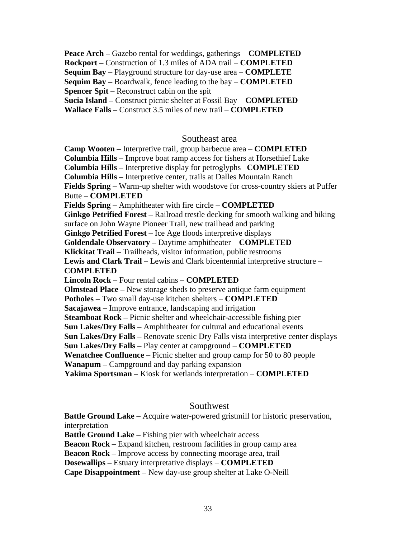**Peace Arch –** Gazebo rental for weddings, gatherings – **COMPLETED**

**Rockport –** Construction of 1.3 miles of ADA trail – **COMPLETED**

**Sequim Bay –** Playground structure for day-use area – **COMPLETE Sequim Bay –** Boardwalk, fence leading to the bay – **COMPLETED**

**Spencer Spit –** Reconstruct cabin on the spit

**Sucia Island –** Construct picnic shelter at Fossil Bay – **COMPLETED**

**Wallace Falls –** Construct 3.5 miles of new trail – **COMPLETED**

## Southeast area

**Camp Wooten –** Interpretive trail, group barbecue area – **COMPLETED Columbia Hills – I**mprove boat ramp access for fishers at Horsethief Lake **Columbia Hills –** Interpretive display for petroglyphs– **COMPLETED Columbia Hills –** Interpretive center, trails at Dalles Mountain Ranch **Fields Spring –** Warm-up shelter with woodstove for cross-country skiers at Puffer Butte – **COMPLETED Fields Spring –** Amphitheater with fire circle – **COMPLETED Ginkgo Petrified Forest –** Railroad trestle decking for smooth walking and biking surface on John Wayne Pioneer Trail, new trailhead and parking **Ginkgo Petrified Forest** – Ice Age floods interpretive displays **Goldendale Observatory –** Daytime amphitheater – **COMPLETED Klickitat Trail –** Trailheads, visitor information, public restrooms **Lewis and Clark Trail –** Lewis and Clark bicentennial interpretive structure – **COMPLETED Lincoln Rock** – Four rental cabins – **COMPLETED Olmstead Place –** New storage sheds to preserve antique farm equipment **Potholes –** Two small day-use kitchen shelters – **COMPLETED Sacajawea –** Improve entrance, landscaping and irrigation **Steamboat Rock –** Picnic shelter and wheelchair-accessible fishing pier **Sun Lakes/Dry Falls –** Amphitheater for cultural and educational events **Sun Lakes/Dry Falls –** Renovate scenic Dry Falls vista interpretive center displays **Sun Lakes/Dry Falls –** Play center at campground – **COMPLETED Wenatchee Confluence –** Picnic shelter and group camp for 50 to 80 people **Wanapum –** Campground and day parking expansion **Yakima Sportsman –** Kiosk for wetlands interpretation – **COMPLETED**

## Southwest

**Battle Ground Lake –** Acquire water-powered gristmill for historic preservation, interpretation **Battle Ground Lake –** Fishing pier with wheelchair access

**Beacon Rock –** Expand kitchen, restroom facilities in group camp area

**Beacon Rock –** Improve access by connecting moorage area, trail

**Dosewallips –** Estuary interpretative displays – **COMPLETED**

**Cape Disappointment –** New day-use group shelter at Lake O-Neill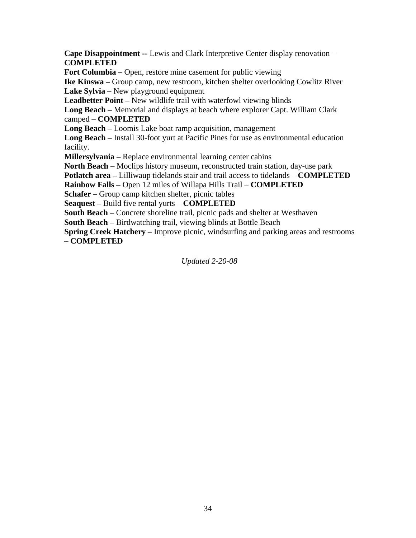**Cape Disappointment --** Lewis and Clark Interpretive Center display renovation – **COMPLETED**

**Fort Columbia –** Open, restore mine casement for public viewing

**Ike Kinswa –** Group camp, new restroom, kitchen shelter overlooking Cowlitz River **Lake Sylvia –** New playground equipment

**Leadbetter Point –** New wildlife trail with waterfowl viewing blinds

**Long Beach –** Memorial and displays at beach where explorer Capt. William Clark camped – **COMPLETED**

**Long Beach –** Loomis Lake boat ramp acquisition, management

**Long Beach –** Install 30-foot yurt at Pacific Pines for use as environmental education facility.

**Millersylvania –** Replace environmental learning center cabins

**North Beach –** Moclips history museum, reconstructed train station, day-use park

**Potlatch area –** Lilliwaup tidelands stair and trail access to tidelands – **COMPLETED**

**Rainbow Falls –** Open 12 miles of Willapa Hills Trail – **COMPLETED**

**Schafer –** Group camp kitchen shelter, picnic tables

**Seaquest –** Build five rental yurts – **COMPLETED**

**South Beach –** Concrete shoreline trail, picnic pads and shelter at Westhaven

**South Beach –** Birdwatching trail, viewing blinds at Bottle Beach

**Spring Creek Hatchery –** Improve picnic, windsurfing and parking areas and restrooms – **COMPLETED**

*Updated 2-20-08*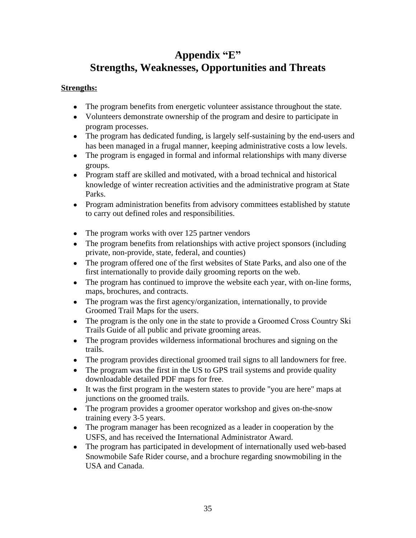# **Appendix "E" Strengths, Weaknesses, Opportunities and Threats**

## **Strengths:**

- The program benefits from energetic volunteer assistance throughout the state.
- Volunteers demonstrate ownership of the program and desire to participate in program processes.
- The program has dedicated funding, is largely self-sustaining by the end-users and has been managed in a frugal manner, keeping administrative costs a low levels.
- The program is engaged in formal and informal relationships with many diverse groups.
- Program staff are skilled and motivated, with a broad technical and historical knowledge of winter recreation activities and the administrative program at State Parks.
- Program administration benefits from advisory committees established by statute to carry out defined roles and responsibilities.
- The program works with over 125 partner vendors
- The program benefits from relationships with active project sponsors (including private, non-provide, state, federal, and counties)
- The program offered one of the first websites of State Parks, and also one of the first internationally to provide daily grooming reports on the web.
- The program has continued to improve the website each year, with on-line forms, maps, brochures, and contracts.
- The program was the first agency/organization, internationally, to provide Groomed Trail Maps for the users.
- The program is the only one in the state to provide a Groomed Cross Country Ski Trails Guide of all public and private grooming areas.
- The program provides wilderness informational brochures and signing on the trails.
- The program provides directional groomed trail signs to all landowners for free.
- The program was the first in the US to GPS trail systems and provide quality downloadable detailed PDF maps for free.
- It was the first program in the western states to provide "you are here" maps at junctions on the groomed trails.
- The program provides a groomer operator workshop and gives on-the-snow training every 3-5 years.
- The program manager has been recognized as a leader in cooperation by the USFS, and has received the International Administrator Award.
- The program has participated in development of internationally used web-based Snowmobile Safe Rider course, and a brochure regarding snowmobiling in the USA and Canada.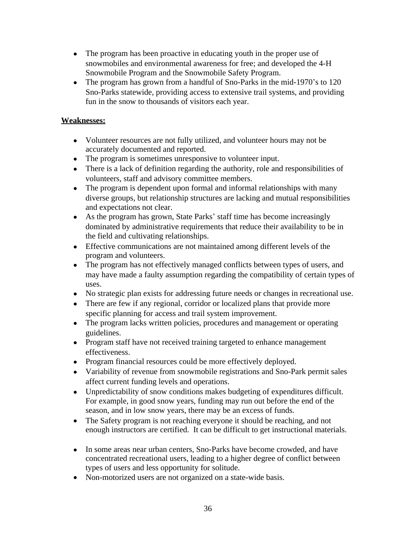- The program has been proactive in educating youth in the proper use of snowmobiles and environmental awareness for free; and developed the 4-H Snowmobile Program and the Snowmobile Safety Program.
- The program has grown from a handful of Sno-Parks in the mid-1970's to 120 Sno-Parks statewide, providing access to extensive trail systems, and providing fun in the snow to thousands of visitors each year.

## **Weaknesses:**

- Volunteer resources are not fully utilized, and volunteer hours may not be accurately documented and reported.
- The program is sometimes unresponsive to volunteer input.
- There is a lack of definition regarding the authority, role and responsibilities of volunteers, staff and advisory committee members.
- The program is dependent upon formal and informal relationships with many diverse groups, but relationship structures are lacking and mutual responsibilities and expectations not clear.
- As the program has grown, State Parks' staff time has become increasingly dominated by administrative requirements that reduce their availability to be in the field and cultivating relationships.
- Effective communications are not maintained among different levels of the program and volunteers.
- The program has not effectively managed conflicts between types of users, and may have made a faulty assumption regarding the compatibility of certain types of uses.
- No strategic plan exists for addressing future needs or changes in recreational use.
- There are few if any regional, corridor or localized plans that provide more specific planning for access and trail system improvement.
- The program lacks written policies, procedures and management or operating guidelines.
- Program staff have not received training targeted to enhance management effectiveness.
- Program financial resources could be more effectively deployed.
- Variability of revenue from snowmobile registrations and Sno-Park permit sales affect current funding levels and operations.
- Unpredictability of snow conditions makes budgeting of expenditures difficult. For example, in good snow years, funding may run out before the end of the season, and in low snow years, there may be an excess of funds.
- The Safety program is not reaching everyone it should be reaching, and not enough instructors are certified. It can be difficult to get instructional materials.
- In some areas near urban centers, Sno-Parks have become crowded, and have concentrated recreational users, leading to a higher degree of conflict between types of users and less opportunity for solitude.
- Non-motorized users are not organized on a state-wide basis.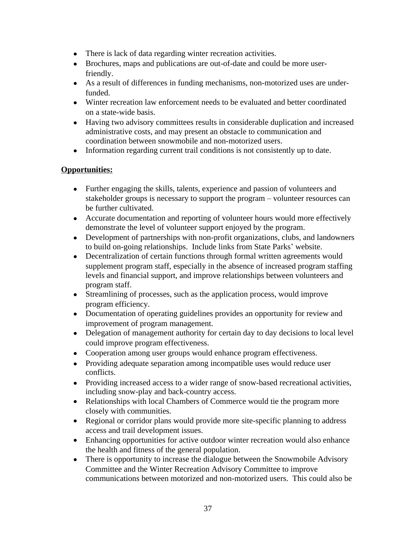- There is lack of data regarding winter recreation activities.
- Brochures, maps and publications are out-of-date and could be more userfriendly.
- As a result of differences in funding mechanisms, non-motorized uses are underfunded.
- Winter recreation law enforcement needs to be evaluated and better coordinated on a state-wide basis.
- Having two advisory committees results in considerable duplication and increased administrative costs, and may present an obstacle to communication and coordination between snowmobile and non-motorized users.
- Information regarding current trail conditions is not consistently up to date.

## **Opportunities:**

- Further engaging the skills, talents, experience and passion of volunteers and stakeholder groups is necessary to support the program – volunteer resources can be further cultivated.
- Accurate documentation and reporting of volunteer hours would more effectively demonstrate the level of volunteer support enjoyed by the program.
- Development of partnerships with non-profit organizations, clubs, and landowners to build on-going relationships. Include links from State Parks' website.
- Decentralization of certain functions through formal written agreements would supplement program staff, especially in the absence of increased program staffing levels and financial support, and improve relationships between volunteers and program staff.
- Streamlining of processes, such as the application process, would improve program efficiency.
- Documentation of operating guidelines provides an opportunity for review and improvement of program management.
- Delegation of management authority for certain day to day decisions to local level could improve program effectiveness.
- Cooperation among user groups would enhance program effectiveness.
- Providing adequate separation among incompatible uses would reduce user conflicts.
- Providing increased access to a wider range of snow-based recreational activities, including snow-play and back-country access.
- Relationships with local Chambers of Commerce would tie the program more closely with communities.
- Regional or corridor plans would provide more site-specific planning to address access and trail development issues.
- Enhancing opportunities for active outdoor winter recreation would also enhance the health and fitness of the general population.
- There is opportunity to increase the dialogue between the Snowmobile Advisory Committee and the Winter Recreation Advisory Committee to improve communications between motorized and non-motorized users. This could also be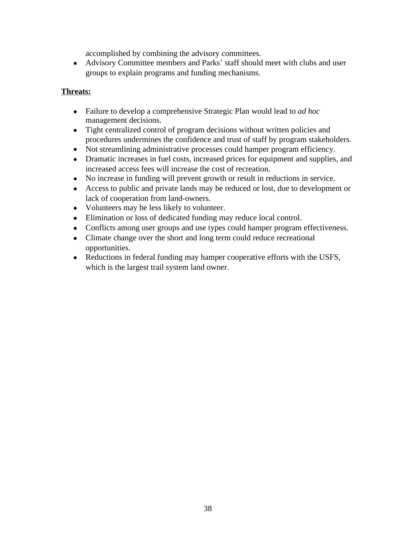accomplished by combining the advisory committees.

 Advisory Committee members and Parks' staff should meet with clubs and user groups to explain programs and funding mechanisms.

#### **Threats:**

- Failure to develop a comprehensive Strategic Plan would lead to *ad hoc* management decisions.
- Tight centralized control of program decisions without written policies and procedures undermines the confidence and trust of staff by program stakeholders.
- Not streamlining administrative processes could hamper program efficiency.
- Dramatic increases in fuel costs, increased prices for equipment and supplies, and increased access fees will increase the cost of recreation.
- No increase in funding will prevent growth or result in reductions in service.
- Access to public and private lands may be reduced or lost, due to development or lack of cooperation from land-owners.
- Volunteers may be less likely to volunteer.
- Elimination or loss of dedicated funding may reduce local control.
- Conflicts among user groups and use types could hamper program effectiveness.
- Climate change over the short and long term could reduce recreational opportunities.
- Reductions in federal funding may hamper cooperative efforts with the USFS, which is the largest trail system land owner.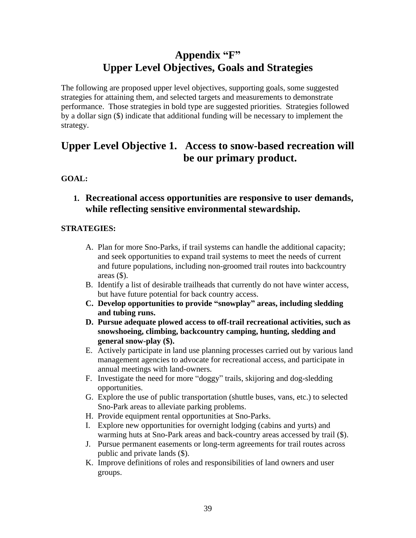# **Appendix "F" Upper Level Objectives, Goals and Strategies**

The following are proposed upper level objectives, supporting goals, some suggested strategies for attaining them, and selected targets and measurements to demonstrate performance. Those strategies in bold type are suggested priorities. Strategies followed by a dollar sign (\$) indicate that additional funding will be necessary to implement the strategy.

# **Upper Level Objective 1. Access to snow-based recreation will be our primary product.**

# **GOAL:**

**1. Recreational access opportunities are responsive to user demands, while reflecting sensitive environmental stewardship.**

- A. Plan for more Sno-Parks, if trail systems can handle the additional capacity; and seek opportunities to expand trail systems to meet the needs of current and future populations, including non-groomed trail routes into backcountry areas  $(\$)$ .
- B. Identify a list of desirable trailheads that currently do not have winter access, but have future potential for back country access.
- **C. Develop opportunities to provide "snowplay" areas, including sledding and tubing runs.**
- **D. Pursue adequate plowed access to off-trail recreational activities, such as snowshoeing, climbing, backcountry camping, hunting, sledding and general snow-play (\$).**
- E. Actively participate in land use planning processes carried out by various land management agencies to advocate for recreational access, and participate in annual meetings with land-owners.
- F. Investigate the need for more "doggy" trails, skijoring and dog-sledding opportunities.
- G. Explore the use of public transportation (shuttle buses, vans, etc.) to selected Sno-Park areas to alleviate parking problems.
- H. Provide equipment rental opportunities at Sno-Parks.
- I. Explore new opportunities for overnight lodging (cabins and yurts) and warming huts at Sno-Park areas and back-country areas accessed by trail (\$).
- J. Pursue permanent easements or long-term agreements for trail routes across public and private lands (\$).
- K. Improve definitions of roles and responsibilities of land owners and user groups.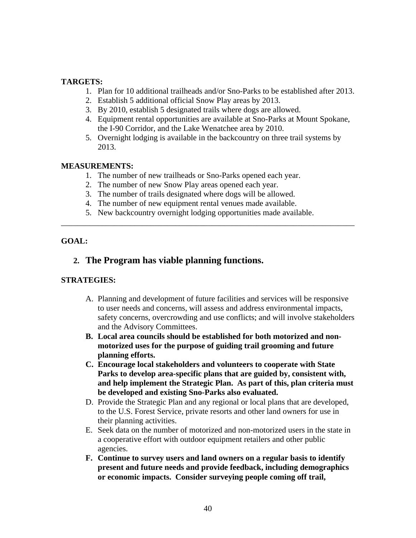#### **TARGETS:**

- 1. Plan for 10 additional trailheads and/or Sno-Parks to be established after 2013.
- 2. Establish 5 additional official Snow Play areas by 2013.
- 3. By 2010, establish 5 designated trails where dogs are allowed.
- 4. Equipment rental opportunities are available at Sno-Parks at Mount Spokane, the I-90 Corridor, and the Lake Wenatchee area by 2010.
- 5. Overnight lodging is available in the backcountry on three trail systems by 2013.

#### **MEASUREMENTS:**

- 1. The number of new trailheads or Sno-Parks opened each year.
- 2. The number of new Snow Play areas opened each year.
- 3. The number of trails designated where dogs will be allowed.
- 4. The number of new equipment rental venues made available.
- 5. New backcountry overnight lodging opportunities made available.

\_\_\_\_\_\_\_\_\_\_\_\_\_\_\_\_\_\_\_\_\_\_\_\_\_\_\_\_\_\_\_\_\_\_\_\_\_\_\_\_\_\_\_\_\_\_\_\_\_\_\_\_\_\_\_\_\_\_\_\_\_\_\_\_\_\_\_\_\_\_\_\_

## **GOAL:**

# **2. The Program has viable planning functions.**

- A. Planning and development of future facilities and services will be responsive to user needs and concerns, will assess and address environmental impacts, safety concerns, overcrowding and use conflicts; and will involve stakeholders and the Advisory Committees.
- **B. Local area councils should be established for both motorized and nonmotorized uses for the purpose of guiding trail grooming and future planning efforts.**
- **C. Encourage local stakeholders and volunteers to cooperate with State Parks to develop area-specific plans that are guided by, consistent with, and help implement the Strategic Plan. As part of this, plan criteria must be developed and existing Sno-Parks also evaluated.**
- D. Provide the Strategic Plan and any regional or local plans that are developed, to the U.S. Forest Service, private resorts and other land owners for use in their planning activities.
- E. Seek data on the number of motorized and non-motorized users in the state in a cooperative effort with outdoor equipment retailers and other public agencies.
- **F. Continue to survey users and land owners on a regular basis to identify present and future needs and provide feedback, including demographics or economic impacts. Consider surveying people coming off trail,**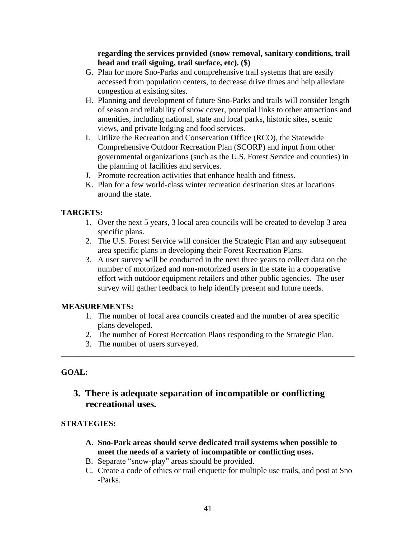#### **regarding the services provided (snow removal, sanitary conditions, trail head and trail signing, trail surface, etc). (\$)**

- G. Plan for more Sno-Parks and comprehensive trail systems that are easily accessed from population centers, to decrease drive times and help alleviate congestion at existing sites.
- H. Planning and development of future Sno-Parks and trails will consider length of season and reliability of snow cover, potential links to other attractions and amenities, including national, state and local parks, historic sites, scenic views, and private lodging and food services.
- I. Utilize the Recreation and Conservation Office (RCO), the Statewide Comprehensive Outdoor Recreation Plan (SCORP) and input from other governmental organizations (such as the U.S. Forest Service and counties) in the planning of facilities and services.
- J. Promote recreation activities that enhance health and fitness.
- K. Plan for a few world-class winter recreation destination sites at locations around the state.

## **TARGETS:**

- 1. Over the next 5 years, 3 local area councils will be created to develop 3 area specific plans.
- 2. The U.S. Forest Service will consider the Strategic Plan and any subsequent area specific plans in developing their Forest Recreation Plans.
- 3. A user survey will be conducted in the next three years to collect data on the number of motorized and non-motorized users in the state in a cooperative effort with outdoor equipment retailers and other public agencies. The user survey will gather feedback to help identify present and future needs.

## **MEASUREMENTS:**

- 1. The number of local area councils created and the number of area specific plans developed.
- 2. The number of Forest Recreation Plans responding to the Strategic Plan.

\_\_\_\_\_\_\_\_\_\_\_\_\_\_\_\_\_\_\_\_\_\_\_\_\_\_\_\_\_\_\_\_\_\_\_\_\_\_\_\_\_\_\_\_\_\_\_\_\_\_\_\_\_\_\_\_\_\_\_\_\_\_\_\_\_\_\_\_\_\_\_\_

3. The number of users surveyed.

## **GOAL:**

# **3. There is adequate separation of incompatible or conflicting recreational uses.**

- **A. Sno-Park areas should serve dedicated trail systems when possible to meet the needs of a variety of incompatible or conflicting uses.**
- B. Separate "snow-play" areas should be provided.
- C. Create a code of ethics or trail etiquette for multiple use trails, and post at Sno -Parks.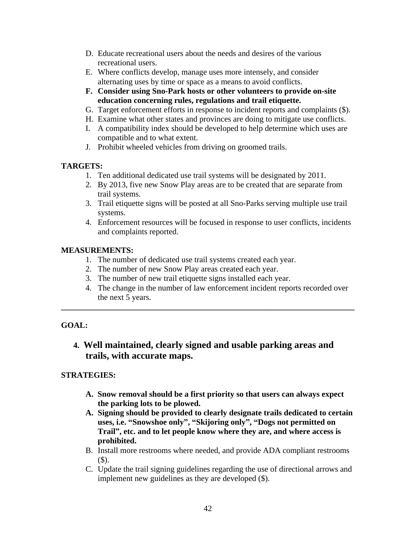- D. Educate recreational users about the needs and desires of the various recreational users.
- E. Where conflicts develop, manage uses more intensely, and consider alternating uses by time or space as a means to avoid conflicts.
- **F. Consider using Sno-Park hosts or other volunteers to provide on-site education concerning rules, regulations and trail etiquette.**
- G. Target enforcement efforts in response to incident reports and complaints (\$).
- H. Examine what other states and provinces are doing to mitigate use conflicts.
- I. A compatibility index should be developed to help determine which uses are compatible and to what extent.
- J. Prohibit wheeled vehicles from driving on groomed trails.

## **TARGETS:**

- 1. Ten additional dedicated use trail systems will be designated by 2011.
- 2. By 2013, five new Snow Play areas are to be created that are separate from trail systems.
- 3. Trail etiquette signs will be posted at all Sno-Parks serving multiple use trail systems.
- 4. Enforcement resources will be focused in response to user conflicts, incidents and complaints reported.

## **MEASUREMENTS:**

- 1. The number of dedicated use trail systems created each year.
- 2. The number of new Snow Play areas created each year.
- 3. The number of new trail etiquette signs installed each year.
- 4. The change in the number of law enforcement incident reports recorded over the next 5 years.

# **GOAL:**

# **4. Well maintained, clearly signed and usable parking areas and trails, with accurate maps.**

**\_\_\_\_\_\_\_\_\_\_\_\_\_\_\_\_\_\_\_\_\_\_\_\_\_\_\_\_\_\_\_\_\_\_\_\_\_\_\_\_\_\_\_\_\_\_\_\_\_\_\_\_\_\_\_\_\_\_\_\_\_\_\_\_\_\_\_\_\_\_\_\_**

- **A. Snow removal should be a first priority so that users can always expect the parking lots to be plowed.**
- **A. Signing should be provided to clearly designate trails dedicated to certain uses, i.e. "Snowshoe only" , "Skijoring only" , "Dogs not permitted on Trail", etc. and to let people know where they are, and where access is prohibited.**
- B. Install more restrooms where needed, and provide ADA compliant restrooms (\$).
- C. Update the trail signing guidelines regarding the use of directional arrows and implement new guidelines as they are developed (\$).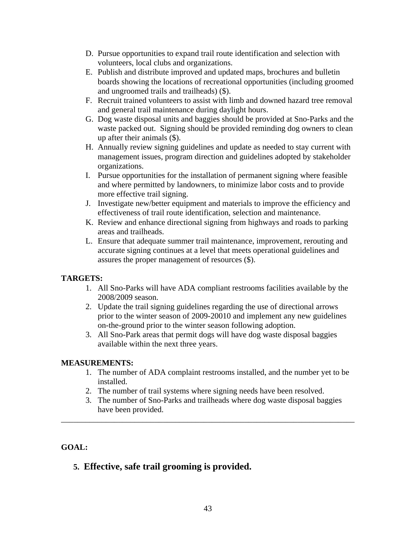- D. Pursue opportunities to expand trail route identification and selection with volunteers, local clubs and organizations.
- E. Publish and distribute improved and updated maps, brochures and bulletin boards showing the locations of recreational opportunities (including groomed and ungroomed trails and trailheads) (\$).
- F. Recruit trained volunteers to assist with limb and downed hazard tree removal and general trail maintenance during daylight hours.
- G. Dog waste disposal units and baggies should be provided at Sno-Parks and the waste packed out. Signing should be provided reminding dog owners to clean up after their animals (\$).
- H. Annually review signing guidelines and update as needed to stay current with management issues, program direction and guidelines adopted by stakeholder organizations.
- I. Pursue opportunities for the installation of permanent signing where feasible and where permitted by landowners, to minimize labor costs and to provide more effective trail signing.
- J. Investigate new/better equipment and materials to improve the efficiency and effectiveness of trail route identification, selection and maintenance.
- K. Review and enhance directional signing from highways and roads to parking areas and trailheads.
- L. Ensure that adequate summer trail maintenance, improvement, rerouting and accurate signing continues at a level that meets operational guidelines and assures the proper management of resources (\$).

# **TARGETS:**

- 1. All Sno-Parks will have ADA compliant restrooms facilities available by the 2008/2009 season.
- 2. Update the trail signing guidelines regarding the use of directional arrows prior to the winter season of 2009-20010 and implement any new guidelines on-the-ground prior to the winter season following adoption.
- 3. All Sno-Park areas that permit dogs will have dog waste disposal baggies available within the next three years.

# **MEASUREMENTS:**

- 1. The number of ADA complaint restrooms installed, and the number yet to be installed.
- 2. The number of trail systems where signing needs have been resolved.

\_\_\_\_\_\_\_\_\_\_\_\_\_\_\_\_\_\_\_\_\_\_\_\_\_\_\_\_\_\_\_\_\_\_\_\_\_\_\_\_\_\_\_\_\_\_\_\_\_\_\_\_\_\_\_\_\_\_\_\_\_\_\_\_\_\_\_\_\_\_\_\_

3. The number of Sno-Parks and trailheads where dog waste disposal baggies have been provided.

# **GOAL:**

# **5. Effective, safe trail grooming is provided.**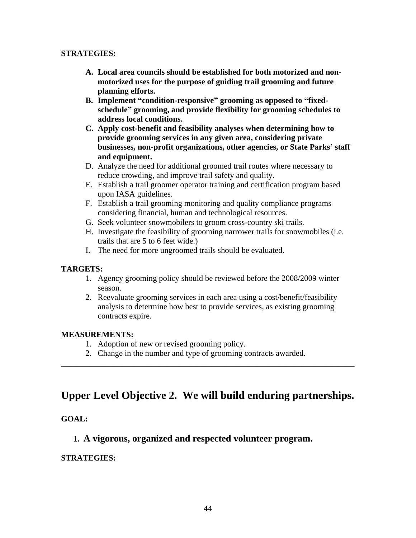#### **STRATEGIES:**

- **A. Local area councils should be established for both motorized and nonmotorized uses for the purpose of guiding trail grooming and future planning efforts.**
- **B. Implement "condition-responsive" grooming as opposed to "fixedschedule" grooming, and provide flexibility for grooming schedules to address local conditions.**
- **C. Apply cost-benefit and feasibility analyses when determining how to provide grooming services in any given area, considering private businesses, non-profit organizations, other agencies, or State Parks' staff and equipment.**
- D. Analyze the need for additional groomed trail routes where necessary to reduce crowding, and improve trail safety and quality.
- E. Establish a trail groomer operator training and certification program based upon IASA guidelines.
- F. Establish a trail grooming monitoring and quality compliance programs considering financial, human and technological resources.
- G. Seek volunteer snowmobilers to groom cross-country ski trails.
- H. Investigate the feasibility of grooming narrower trails for snowmobiles (i.e. trails that are 5 to 6 feet wide.)
- I. The need for more ungroomed trails should be evaluated.

## **TARGETS:**

- 1. Agency grooming policy should be reviewed before the 2008/2009 winter season.
- 2. Reevaluate grooming services in each area using a cost/benefit/feasibility analysis to determine how best to provide services, as existing grooming contracts expire.

## **MEASUREMENTS:**

- 1. Adoption of new or revised grooming policy.
- 2. Change in the number and type of grooming contracts awarded.

# **Upper Level Objective 2. We will build enduring partnerships.**

\_\_\_\_\_\_\_\_\_\_\_\_\_\_\_\_\_\_\_\_\_\_\_\_\_\_\_\_\_\_\_\_\_\_\_\_\_\_\_\_\_\_\_\_\_\_\_\_\_\_\_\_\_\_\_\_\_\_\_\_\_\_\_\_\_\_\_\_\_\_\_\_

## **GOAL:**

# **1. A vigorous, organized and respected volunteer program.**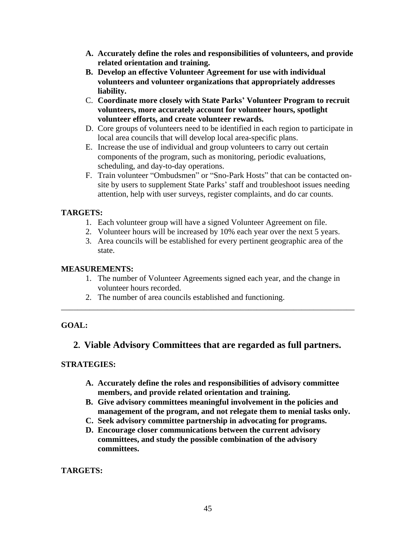- **A. Accurately define the roles and responsibilities of volunteers, and provide related orientation and training.**
- **B. Develop an effective Volunteer Agreement for use with individual volunteers and volunteer organizations that appropriately addresses liability.**
- C. **Coordinate more closely with State Parks' Volunteer Program to recruit volunteers, more accurately account for volunteer hours, spotlight volunteer efforts, and create volunteer rewards.**
- D. Core groups of volunteers need to be identified in each region to participate in local area councils that will develop local area-specific plans.
- E. Increase the use of individual and group volunteers to carry out certain components of the program, such as monitoring, periodic evaluations, scheduling, and day-to-day operations.
- F. Train volunteer "Ombudsmen" or "Sno-Park Hosts" that can be contacted onsite by users to supplement State Parks' staff and troubleshoot issues needing attention, help with user surveys, register complaints, and do car counts.

## **TARGETS:**

- 1. Each volunteer group will have a signed Volunteer Agreement on file.
- 2. Volunteer hours will be increased by 10% each year over the next 5 years.
- 3. Area councils will be established for every pertinent geographic area of the state.

#### **MEASUREMENTS:**

- 1. The number of Volunteer Agreements signed each year, and the change in volunteer hours recorded.
- 2. The number of area councils established and functioning.

## **GOAL:**

# **2. Viable Advisory Committees that are regarded as full partners.**

\_\_\_\_\_\_\_\_\_\_\_\_\_\_\_\_\_\_\_\_\_\_\_\_\_\_\_\_\_\_\_\_\_\_\_\_\_\_\_\_\_\_\_\_\_\_\_\_\_\_\_\_\_\_\_\_\_\_\_\_\_\_\_\_\_\_\_\_\_\_\_\_

#### **STRATEGIES:**

- **A. Accurately define the roles and responsibilities of advisory committee members, and provide related orientation and training.**
- **B. Give advisory committees meaningful involvement in the policies and management of the program, and not relegate them to menial tasks only.**
- **C. Seek advisory committee partnership in advocating for programs.**
- **D. Encourage closer communications between the current advisory committees, and study the possible combination of the advisory committees.**

**TARGETS:**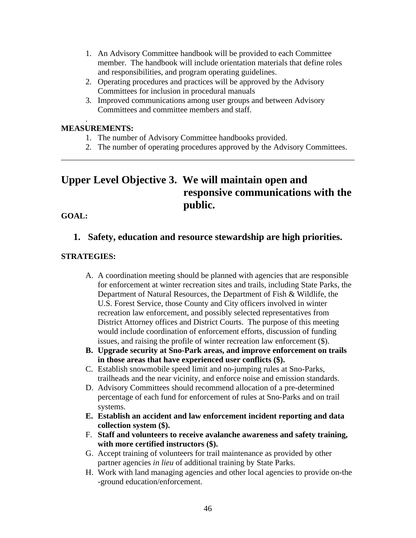- 1. An Advisory Committee handbook will be provided to each Committee member. The handbook will include orientation materials that define roles and responsibilities, and program operating guidelines.
- 2. Operating procedures and practices will be approved by the Advisory Committees for inclusion in procedural manuals
- 3. Improved communications among user groups and between Advisory Committees and committee members and staff.

#### . **MEASUREMENTS:**

- 1. The number of Advisory Committee handbooks provided.
- 2. The number of operating procedures approved by the Advisory Committees.

# **Upper Level Objective 3. We will maintain open and responsive communications with the public.**

\_\_\_\_\_\_\_\_\_\_\_\_\_\_\_\_\_\_\_\_\_\_\_\_\_\_\_\_\_\_\_\_\_\_\_\_\_\_\_\_\_\_\_\_\_\_\_\_\_\_\_\_\_\_\_\_\_\_\_\_\_\_\_\_\_\_\_\_\_\_\_\_

#### **GOAL:**

# **1. Safety, education and resource stewardship are high priorities.**

- A. A coordination meeting should be planned with agencies that are responsible for enforcement at winter recreation sites and trails, including State Parks, the Department of Natural Resources, the Department of Fish & Wildlife, the U.S. Forest Service, those County and City officers involved in winter recreation law enforcement, and possibly selected representatives from District Attorney offices and District Courts. The purpose of this meeting would include coordination of enforcement efforts, discussion of funding issues, and raising the profile of winter recreation law enforcement (\$).
- **B. Upgrade security at Sno-Park areas, and improve enforcement on trails in those areas that have experienced user conflicts (\$).**
- C. Establish snowmobile speed limit and no-jumping rules at Sno-Parks, trailheads and the near vicinity, and enforce noise and emission standards.
- D. Advisory Committees should recommend allocation of a pre-determined percentage of each fund for enforcement of rules at Sno-Parks and on trail systems.
- **E. Establish an accident and law enforcement incident reporting and data collection system (\$).**
- F. **Staff and volunteers to receive avalanche awareness and safety training, with more certified instructors (\$).**
- G. Accept training of volunteers for trail maintenance as provided by other partner agencies *in lieu* of additional training by State Parks.
- H. Work with land managing agencies and other local agencies to provide on-the -ground education/enforcement.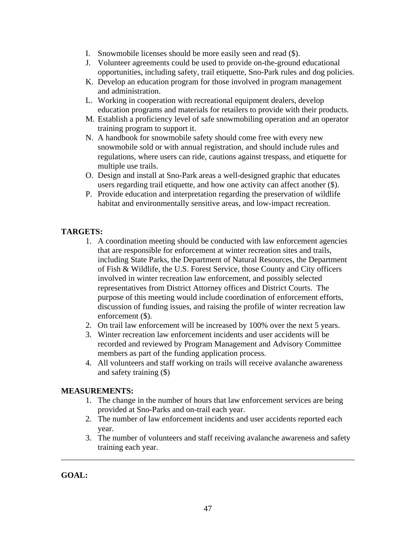- I. Snowmobile licenses should be more easily seen and read (\$).
- J. Volunteer agreements could be used to provide on-the-ground educational opportunities, including safety, trail etiquette, Sno-Park rules and dog policies.
- K. Develop an education program for those involved in program management and administration.
- L. Working in cooperation with recreational equipment dealers, develop education programs and materials for retailers to provide with their products.
- M. Establish a proficiency level of safe snowmobiling operation and an operator training program to support it.
- N. A handbook for snowmobile safety should come free with every new snowmobile sold or with annual registration, and should include rules and regulations, where users can ride, cautions against trespass, and etiquette for multiple use trails.
- O. Design and install at Sno-Park areas a well-designed graphic that educates users regarding trail etiquette, and how one activity can affect another (\$).
- P. Provide education and interpretation regarding the preservation of wildlife habitat and environmentally sensitive areas, and low-impact recreation.

# **TARGETS:**

- 1. A coordination meeting should be conducted with law enforcement agencies that are responsible for enforcement at winter recreation sites and trails, including State Parks, the Department of Natural Resources, the Department of Fish & Wildlife, the U.S. Forest Service, those County and City officers involved in winter recreation law enforcement, and possibly selected representatives from District Attorney offices and District Courts. The purpose of this meeting would include coordination of enforcement efforts, discussion of funding issues, and raising the profile of winter recreation law enforcement (\$).
- 2. On trail law enforcement will be increased by 100% over the next 5 years.
- 3. Winter recreation law enforcement incidents and user accidents will be recorded and reviewed by Program Management and Advisory Committee members as part of the funding application process.
- 4. All volunteers and staff working on trails will receive avalanche awareness and safety training (\$)

# **MEASUREMENTS:**

- 1. The change in the number of hours that law enforcement services are being provided at Sno-Parks and on-trail each year.
- 2. The number of law enforcement incidents and user accidents reported each year.
- 3. The number of volunteers and staff receiving avalanche awareness and safety training each year.

**GOAL:**

\_\_\_\_\_\_\_\_\_\_\_\_\_\_\_\_\_\_\_\_\_\_\_\_\_\_\_\_\_\_\_\_\_\_\_\_\_\_\_\_\_\_\_\_\_\_\_\_\_\_\_\_\_\_\_\_\_\_\_\_\_\_\_\_\_\_\_\_\_\_\_\_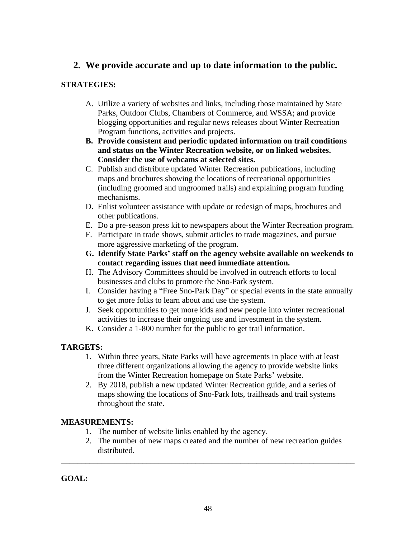# **2. We provide accurate and up to date information to the public.**

## **STRATEGIES:**

- A. Utilize a variety of websites and links, including those maintained by State Parks, Outdoor Clubs, Chambers of Commerce, and WSSA; and provide blogging opportunities and regular news releases about Winter Recreation Program functions, activities and projects.
- **B. Provide consistent and periodic updated information on trail conditions and status on the Winter Recreation website, or on linked websites. Consider the use of webcams at selected sites.**
- C. Publish and distribute updated Winter Recreation publications, including maps and brochures showing the locations of recreational opportunities (including groomed and ungroomed trails) and explaining program funding mechanisms.
- D. Enlist volunteer assistance with update or redesign of maps, brochures and other publications.
- E. Do a pre-season press kit to newspapers about the Winter Recreation program.
- F. Participate in trade shows, submit articles to trade magazines, and pursue more aggressive marketing of the program.
- **G. Identify State Parks' staff on the agency website available on weekends to contact regarding issues that need immediate attention.**
- H. The Advisory Committees should be involved in outreach efforts to local businesses and clubs to promote the Sno-Park system.
- I. Consider having a "Free Sno-Park Day" or special events in the state annually to get more folks to learn about and use the system.
- J. Seek opportunities to get more kids and new people into winter recreational activities to increase their ongoing use and investment in the system.
- K. Consider a 1-800 number for the public to get trail information.

# **TARGETS:**

- 1. Within three years, State Parks will have agreements in place with at least three different organizations allowing the agency to provide website links from the Winter Recreation homepage on State Parks' website.
- 2. By 2018, publish a new updated Winter Recreation guide, and a series of maps showing the locations of Sno-Park lots, trailheads and trail systems throughout the state.

# **MEASUREMENTS:**

- 1. The number of website links enabled by the agency.
- 2. The number of new maps created and the number of new recreation guides distributed.

**\_\_\_\_\_\_\_\_\_\_\_\_\_\_\_\_\_\_\_\_\_\_\_\_\_\_\_\_\_\_\_\_\_\_\_\_\_\_\_\_\_\_\_\_\_\_\_\_\_\_\_\_\_\_\_\_\_\_\_\_\_\_\_\_\_\_\_\_\_\_\_\_**

**GOAL:**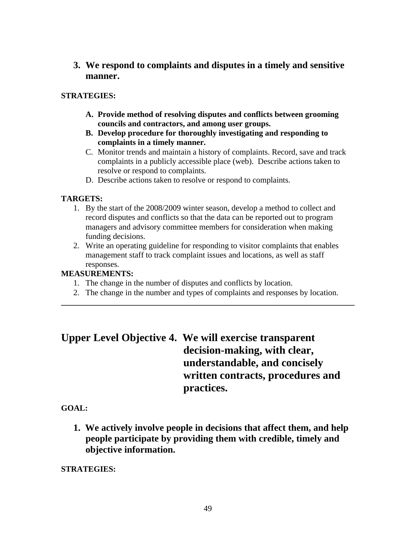**3. We respond to complaints and disputes in a timely and sensitive manner.** 

## **STRATEGIES:**

- **A. Provide method of resolving disputes and conflicts between grooming councils and contractors, and among user groups.**
- **B. Develop procedure for thoroughly investigating and responding to complaints in a timely manner.**
- C. Monitor trends and maintain a history of complaints. Record, save and track complaints in a publicly accessible place (web). Describe actions taken to resolve or respond to complaints.
- D. Describe actions taken to resolve or respond to complaints.

# **TARGETS:**

- 1. By the start of the 2008/2009 winter season, develop a method to collect and record disputes and conflicts so that the data can be reported out to program managers and advisory committee members for consideration when making funding decisions.
- 2. Write an operating guideline for responding to visitor complaints that enables management staff to track complaint issues and locations, as well as staff responses.

## **MEASUREMENTS:**

- 1. The change in the number of disputes and conflicts by location.
- 2. The change in the number and types of complaints and responses by location. **\_\_\_\_\_\_\_\_\_\_\_\_\_\_\_\_\_\_\_\_\_\_\_\_\_\_\_\_\_\_\_\_\_\_\_\_\_\_\_\_\_\_\_\_\_\_\_\_\_\_\_\_\_\_\_\_\_\_\_\_\_\_\_\_\_\_\_\_\_\_\_\_**

# **Upper Level Objective 4. We will exercise transparent decision-making, with clear, understandable, and concisely written contracts, procedures and practices.**

## **GOAL:**

**1. We actively involve people in decisions that affect them, and help people participate by providing them with credible, timely and objective information.**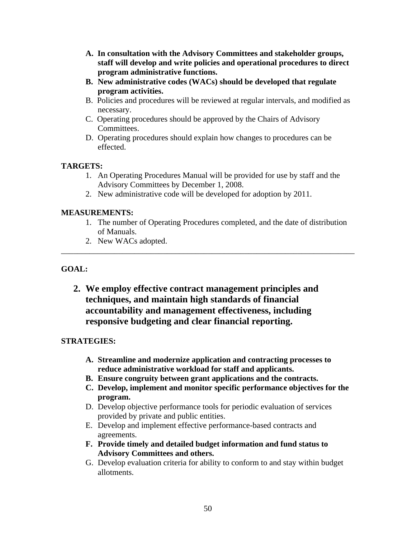- **A. In consultation with the Advisory Committees and stakeholder groups, staff will develop and write policies and operational procedures to direct program administrative functions.**
- **B. New administrative codes (WACs) should be developed that regulate program activities.**
- B. Policies and procedures will be reviewed at regular intervals, and modified as necessary.
- C. Operating procedures should be approved by the Chairs of Advisory Committees.
- D. Operating procedures should explain how changes to procedures can be effected.

## **TARGETS:**

- 1. An Operating Procedures Manual will be provided for use by staff and the Advisory Committees by December 1, 2008.
- 2. New administrative code will be developed for adoption by 2011.

## **MEASUREMENTS:**

1. The number of Operating Procedures completed, and the date of distribution of Manuals.

\_\_\_\_\_\_\_\_\_\_\_\_\_\_\_\_\_\_\_\_\_\_\_\_\_\_\_\_\_\_\_\_\_\_\_\_\_\_\_\_\_\_\_\_\_\_\_\_\_\_\_\_\_\_\_\_\_\_\_\_\_\_\_\_\_\_\_\_\_\_\_\_

2. New WACs adopted.

## **GOAL:**

**2. We employ effective contract management principles and techniques, and maintain high standards of financial accountability and management effectiveness, including responsive budgeting and clear financial reporting.** 

- **A. Streamline and modernize application and contracting processes to reduce administrative workload for staff and applicants.**
- **B. Ensure congruity between grant applications and the contracts.**
- **C. Develop, implement and monitor specific performance objectives for the program.**
- D. Develop objective performance tools for periodic evaluation of services provided by private and public entities.
- E. Develop and implement effective performance-based contracts and agreements.
- **F. Provide timely and detailed budget information and fund status to Advisory Committees and others.**
- G. Develop evaluation criteria for ability to conform to and stay within budget allotments.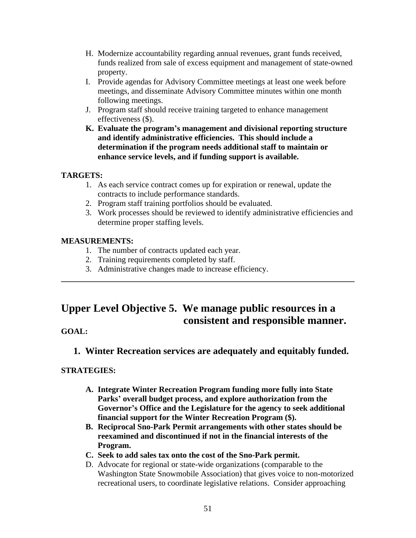- H. Modernize accountability regarding annual revenues, grant funds received, funds realized from sale of excess equipment and management of state-owned property.
- I. Provide agendas for Advisory Committee meetings at least one week before meetings, and disseminate Advisory Committee minutes within one month following meetings.
- J. Program staff should receive training targeted to enhance management effectiveness (\$).
- **K. Evaluate the program's management and divisional reporting structure and identify administrative efficiencies. This should include a determination if the program needs additional staff to maintain or enhance service levels, and if funding support is available.**

## **TARGETS:**

- 1. As each service contract comes up for expiration or renewal, update the contracts to include performance standards.
- 2. Program staff training portfolios should be evaluated.
- 3. Work processes should be reviewed to identify administrative efficiencies and determine proper staffing levels.

## **MEASUREMENTS:**

- 1. The number of contracts updated each year.
- 2. Training requirements completed by staff.
- 3. Administrative changes made to increase efficiency.

# **Upper Level Objective 5. We manage public resources in a consistent and responsible manner.**

**\_\_\_\_\_\_\_\_\_\_\_\_\_\_\_\_\_\_\_\_\_\_\_\_\_\_\_\_\_\_\_\_\_\_\_\_\_\_\_\_\_\_\_\_\_\_\_\_\_\_\_\_\_\_\_\_\_\_\_\_\_\_\_\_\_\_\_\_\_\_\_\_**

# **GOAL:**

# **1. Winter Recreation services are adequately and equitably funded.**

- **A. Integrate Winter Recreation Program funding more fully into State Parks' overall budget process, and explore authorization from the Governor's Office and the Legislature for the agency to seek additional financial support for the Winter Recreation Program (\$).**
- **B. Reciprocal Sno-Park Permit arrangements with other states should be reexamined and discontinued if not in the financial interests of the Program.**
- **C. Seek to add sales tax onto the cost of the Sno-Park permit.**
- D. Advocate for regional or state-wide organizations (comparable to the Washington State Snowmobile Association) that gives voice to non-motorized recreational users, to coordinate legislative relations. Consider approaching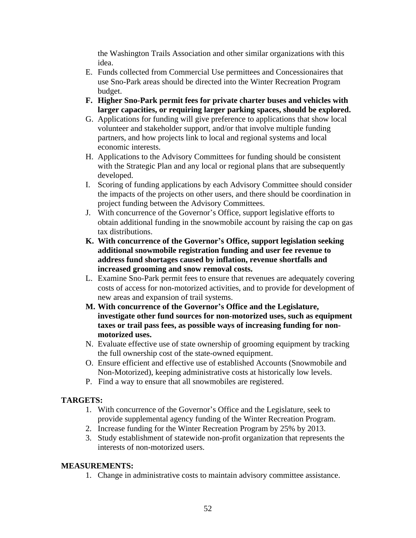the Washington Trails Association and other similar organizations with this idea.

- E. Funds collected from Commercial Use permittees and Concessionaires that use Sno-Park areas should be directed into the Winter Recreation Program budget.
- **F. Higher Sno-Park permit fees for private charter buses and vehicles with larger capacities, or requiring larger parking spaces, should be explored.**
- G. Applications for funding will give preference to applications that show local volunteer and stakeholder support, and/or that involve multiple funding partners, and how projects link to local and regional systems and local economic interests.
- H. Applications to the Advisory Committees for funding should be consistent with the Strategic Plan and any local or regional plans that are subsequently developed.
- I. Scoring of funding applications by each Advisory Committee should consider the impacts of the projects on other users, and there should be coordination in project funding between the Advisory Committees.
- J. With concurrence of the Governor's Office, support legislative efforts to obtain additional funding in the snowmobile account by raising the cap on gas tax distributions.
- **K. With concurrence of the Governor's Office, support legislation seeking additional snowmobile registration funding and user fee revenue to address fund shortages caused by inflation, revenue shortfalls and increased grooming and snow removal costs.**
- L. Examine Sno-Park permit fees to ensure that revenues are adequately covering costs of access for non-motorized activities, and to provide for development of new areas and expansion of trail systems.
- **M. With concurrence of the Governor's Office and the Legislature, investigate other fund sources for non-motorized uses, such as equipment taxes or trail pass fees, as possible ways of increasing funding for nonmotorized uses.**
- N. Evaluate effective use of state ownership of grooming equipment by tracking the full ownership cost of the state-owned equipment.
- O. Ensure efficient and effective use of established Accounts (Snowmobile and Non-Motorized), keeping administrative costs at historically low levels.
- P. Find a way to ensure that all snowmobiles are registered.

# **TARGETS:**

- 1. With concurrence of the Governor's Office and the Legislature, seek to provide supplemental agency funding of the Winter Recreation Program.
- 2. Increase funding for the Winter Recreation Program by 25% by 2013.
- 3. Study establishment of statewide non-profit organization that represents the interests of non-motorized users.

## **MEASUREMENTS:**

1. Change in administrative costs to maintain advisory committee assistance.